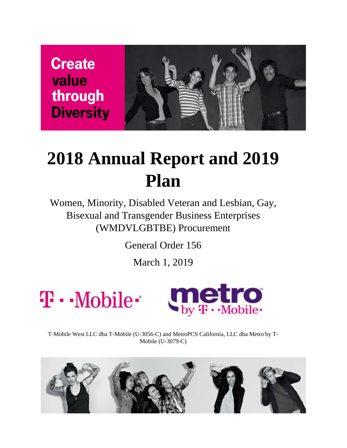**Create** value through **Diversity** 



# **2018 Annual Report and 2019 Plan**

Women, Minority, Disabled Veteran and Lesbian, Gay, Bisexual and Transgender Business Enterprises (WMDVLGBTBE) Procurement

General Order 156

March 1, 2019





T-Mobile West LLC dba T-Mobile (U-3056-C) and MetroPCS California, LLC dba Metro by T-Mobile (U-3079-C)

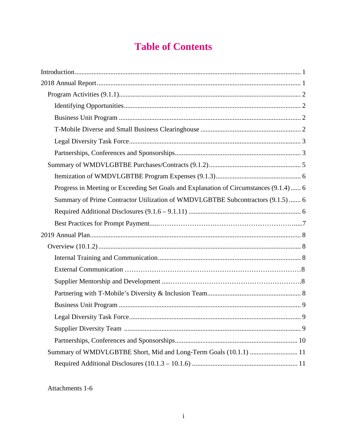# **Table of Contents**

| Progress in Meeting or Exceeding Set Goals and Explanation of Circumstances (9.1.4) 6 |  |
|---------------------------------------------------------------------------------------|--|
| Summary of Prime Contractor Utilization of WMDVLGBTBE Subcontractors (9.1.5)  6       |  |
|                                                                                       |  |
|                                                                                       |  |
|                                                                                       |  |
|                                                                                       |  |
|                                                                                       |  |
|                                                                                       |  |
|                                                                                       |  |
|                                                                                       |  |
|                                                                                       |  |
|                                                                                       |  |
|                                                                                       |  |
|                                                                                       |  |
| Summary of WMDVLGBTBE Short, Mid and Long-Term Goals (10.1.1)  11                     |  |
|                                                                                       |  |
|                                                                                       |  |

Attachments 1-6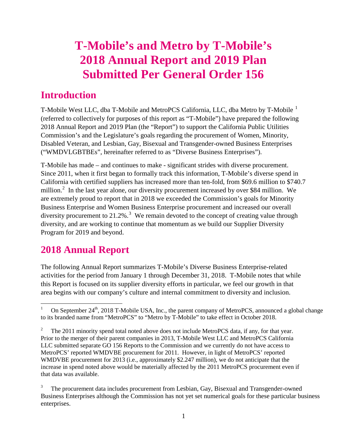# <span id="page-2-0"></span>**T-Mobile's and Metro by T-Mobile's 2018 Annual Report and 2019 Plan Submitted Per General Order 156**

### **Introduction**

T-Mobile West LLC, dba T-Mobile and MetroPCS California, LLC, dba Metro by T-Mobile <sup>[1](#page-2-2)</sup> (referred to collectively for purposes of this report as "T-Mobile") have prepared the following 2018 Annual Report and 2019 Plan (the "Report") to support the California Public Utilities Commission's and the Legislature's goals regarding the procurement of Women, Minority, Disabled Veteran, and Lesbian, Gay, Bisexual and Transgender-owned Business Enterprises ("WMDVLGBTBEs", hereinafter referred to as "Diverse Business Enterprises").

T-Mobile has made – and continues to make - significant strides with diverse procurement. Since 2011, when it first began to formally track this information, T-Mobile's diverse spend in California with certified suppliers has increased more than ten-fold, from \$69.6 million to \$740.7 million.<sup>[2](#page-2-3)</sup> In the last year alone, our diversity procurement increased by over \$84 million. We are extremely proud to report that in 2018 we exceeded the Commission's goals for Minority Business Enterprise and Women Business Enterprise procurement and increased our overall diversity procurement to 21.2%.<sup>[3](#page-2-4)</sup> We remain devoted to the concept of creating value through diversity, and are working to continue that momentum as we build our Supplier Diversity Program for 2019 and beyond.

## <span id="page-2-1"></span>**2018 Annual Report**

The following Annual Report summarizes T-Mobile's Diverse Business Enterprise-related activities for the period from January 1 through December 31, 2018. T-Mobile notes that while this Report is focused on its supplier diversity efforts in particular, we feel our growth in that area begins with our company's culture and internal commitment to diversity and inclusion.

<span id="page-2-2"></span>On September 24<sup>th</sup>, 2018 T-Mobile USA, Inc., the parent company of MetroPCS, announced a global change to its branded name from "MetroPCS" to "Metro by T-Mobile" to take effect in October 2018.

<span id="page-2-3"></span><sup>2</sup> The 2011 minority spend total noted above does not include MetroPCS data, if any, for that year. Prior to the merger of their parent companies in 2013, T-Mobile West LLC and MetroPCS California LLC submitted separate GO 156 Reports to the Commission and we currently do not have access to MetroPCS' reported WMDVBE procurement for 2011. However, in light of MetroPCS' reported WMDVBE procurement for 2013 (i.e., approximately \$2.247 million), we do not anticipate that the increase in spend noted above would be materially affected by the 2011 MetroPCS procurement even if that data was available.

<span id="page-2-4"></span> $3$  The procurement data includes procurement from Lesbian, Gay, Bisexual and Transgender-owned Business Enterprises although the Commission has not yet set numerical goals for these particular business enterprises.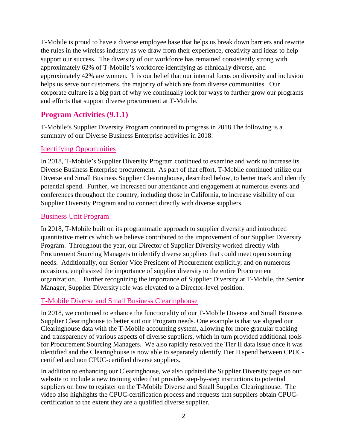T-Mobile is proud to have a diverse employee base that helps us break down barriers and rewrite the rules in the wireless industry as we draw from their experience, creativity and ideas to help support our success. The diversity of our workforce has remained consistently strong with approximately 62% of T-Mobile's workforce identifying as ethnically diverse, and approximately 42% are women. It is our belief that our internal focus on diversity and inclusion helps us serve our customers, the majority of which are from diverse communities. Our corporate culture is a big part of why we continually look for ways to further grow our programs and efforts that support diverse procurement at T-Mobile.

#### <span id="page-3-0"></span>**Program Activities (9.1.1)**

T-Mobile's Supplier Diversity Program continued to progress in 2018.The following is a summary of our Diverse Business Enterprise activities in 2018:

#### <span id="page-3-1"></span>Identifying Opportunities

In 2018, T-Mobile's Supplier Diversity Program continued to examine and work to increase its Diverse Business Enterprise procurement. As part of that effort, T-Mobile continued utilize our Diverse and Small Business Supplier Clearinghouse, described below, to better track and identify potential spend. Further, we increased our attendance and engagement at numerous events and conferences throughout the country, including those in California, to increase visibility of our Supplier Diversity Program and to connect directly with diverse suppliers.

#### <span id="page-3-2"></span>Business Unit Program

In 2018, T-Mobile built on its programmatic approach to supplier diversity and introduced quantitative metrics which we believe contributed to the improvement of our Supplier Diversity Program. Throughout the year, our Director of Supplier Diversity worked directly with Procurement Sourcing Managers to identify diverse suppliers that could meet open sourcing needs. Additionally, our Senior Vice President of Procurement explicitly, and on numerous occasions, emphasized the importance of supplier diversity to the entire Procurement organization. Further recognizing the importance of Supplier Diversity at T-Mobile, the Senior Manager, Supplier Diversity role was elevated to a Director-level position.

#### <span id="page-3-3"></span>T-Mobile Diverse and Small Business Clearinghouse

In 2018, we continued to enhance the functionality of our T-Mobile Diverse and Small Business Supplier Clearinghouse to better suit our Program needs. One example is that we aligned our Clearinghouse data with the T-Mobile accounting system, allowing for more granular tracking and transparency of various aspects of diverse suppliers, which in turn provided additional tools for Procurement Sourcing Managers. We also rapidly resolved the Tier II data issue once it was identified and the Clearinghouse is now able to separately identify Tier II spend between CPUCcertified and non CPUC-certified diverse suppliers.

In addition to enhancing our Clearinghouse, we also updated the Supplier Diversity page on our website to include a new training video that provides step-by-step instructions to potential suppliers on how to register on the T-Mobile Diverse and Small Supplier Clearinghouse. The video also highlights the CPUC-certification process and requests that suppliers obtain CPUCcertification to the extent they are a qualified diverse supplier.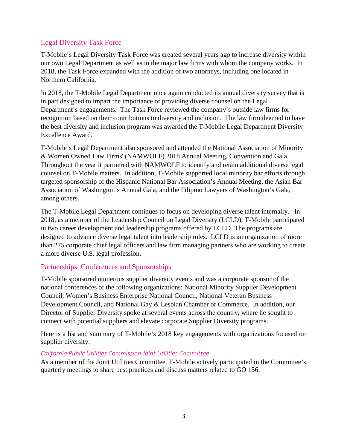#### <span id="page-4-0"></span>Legal Diversity Task Force

T-Mobile's Legal Diversity Task Force was created several years ago to increase diversity within our own Legal Department as well as in the major law firms with whom the company works. In 2018, the Task Force expanded with the addition of two attorneys, including one located in Northern California.

In 2018, the T-Mobile Legal Department once again conducted its annual diversity survey that is in part designed to impart the importance of providing diverse counsel on the Legal Department's engagements. The Task Force reviewed the company's outside law firms for recognition based on their contributions to diversity and inclusion. The law firm deemed to have the best diversity and inclusion program was awarded the T-Mobile Legal Department Diversity Excellence Award.

T-Mobile's Legal Department also sponsored and attended the National Association of Minority & Women Owned Law Firms' (NAMWOLF) 2018 Annual Meeting, Convention and Gala. Throughout the year it partnered with NAMWOLF to identify and retain additional diverse legal counsel on T-Mobile matters. In addition, T-Mobile supported local minority bar efforts through targeted sponsorship of the Hispanic National Bar Association's Annual Meeting, the Asian Bar Association of Washington's Annual Gala, and the Filipino Lawyers of Washington's Gala, among others.

The T-Mobile Legal Department continues to focus on developing diverse talent internally. In 2018, as a member of the Leadership Council on Legal Diversity (LCLD), T-Mobile participated in two career development and leadership programs offered by LCLD. The programs are designed to advance diverse legal talent into leadership roles. LCLD is an organization of more than 275 corporate chief legal officers and law firm managing partners who are working to create a more diverse U.S. legal profession.

#### <span id="page-4-1"></span>Partnerships, Conferences and Sponsorships

T-Mobile sponsored numerous supplier diversity events and was a corporate sponsor of the national conferences of the following organizations: National Minority Supplier Development Council, Women's Business Enterprise National Council, National Veteran Business Development Council, and National Gay & Lesbian Chamber of Commerce. In addition, our Director of Supplier Diversity spoke at several events across the country, where he sought to connect with potential suppliers and elevate corporate Supplier Diversity programs.

Here is a list and summary of T-Mobile's 2018 key engagements with organizations focused on supplier diversity:

#### *California Public Utilities Commission Joint Utilities Committee*

As a member of the Joint Utilities Committee, T-Mobile actively participated in the Committee's quarterly meetings to share best practices and discuss matters related to GO 156.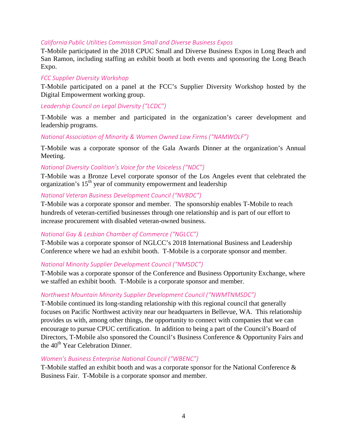#### *California Public Utilities Commission Small and Diverse Business Expos*

T-Mobile participated in the 2018 CPUC Small and Diverse Business Expos in Long Beach and San Ramon, including staffing an exhibit booth at both events and sponsoring the Long Beach Expo.

#### *FCC Supplier Diversity Workshop*

T-Mobile participated on a panel at the FCC's Supplier Diversity Workshop hosted by the Digital Empowerment working group.

#### *Leadership Council on Legal Diversity ("LCDC")*

T-Mobile was a member and participated in the organization's career development and leadership programs.

#### *National Association of Minority & Women Owned Law Firms ("NAMWOLF")*

T-Mobile was a corporate sponsor of the Gala Awards Dinner at the organization's Annual Meeting.

#### *National Diversity Coalition's Voice for the Voiceless ("NDC")*

T-Mobile was a Bronze Level corporate sponsor of the Los Angeles event that celebrated the organization's 15<sup>th</sup> year of community empowerment and leadership

#### *National Veteran Business Development Council ("NVBDC")*

T-Mobile was a corporate sponsor and member. The sponsorship enables T-Mobile to reach hundreds of veteran-certified businesses through one relationship and is part of our effort to increase procurement with disabled veteran-owned business.

#### *National Gay & Lesbian Chamber of Commerce ("NGLCC")*

T-Mobile was a corporate sponsor of NGLCC's 2018 International Business and Leadership Conference where we had an exhibit booth. T-Mobile is a corporate sponsor and member.

#### *National Minority Supplier Development Council ("NMSDC")*

T-Mobile was a corporate sponsor of the Conference and Business Opportunity Exchange, where we staffed an exhibit booth. T-Mobile is a corporate sponsor and member.

#### *Northwest Mountain Minority Supplier Development Council ("NWMTNMSDC")*

T-Mobile continued its long-standing relationship with this regional council that generally focuses on Pacific Northwest activity near our headquarters in Bellevue, WA. This relationship provides us with, among other things, the opportunity to connect with companies that we can encourage to pursue CPUC certification. In addition to being a part of the Council's Board of Directors, T-Mobile also sponsored the Council's Business Conference & Opportunity Fairs and the 40<sup>th</sup> Year Celebration Dinner.

#### *Women's Business Enterprise National Council ("WBENC")*

T-Mobile staffed an exhibit booth and was a corporate sponsor for the National Conference & Business Fair. T-Mobile is a corporate sponsor and member.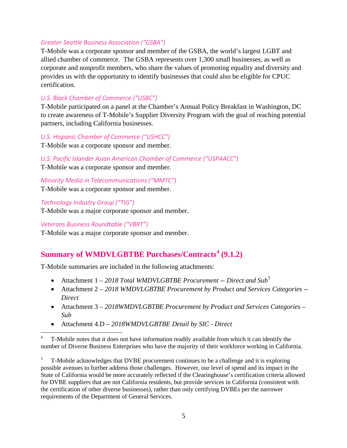#### *Greater Seattle Business Association ("GSBA")*

T-Mobile was a corporate sponsor and member of the GSBA, the world's largest LGBT and allied chamber of commerce. The GSBA represents over 1,300 small businesses, as well as corporate and nonprofit members, who share the values of promoting equality and diversity and provides us with the opportunity to identify businesses that could also be eligible for CPUC certification.

#### *U.S. Black Chamber of Commerce ("USBC")*

T-Mobile participated on a panel at the Chamber's Annual Policy Breakfast in Washington, DC to create awareness of T-Mobile's Supplier Diversity Program with the goal of reaching potential partners, including California businesses.

<span id="page-6-0"></span>*U.S. Hispanic Chamber of Commerce ("USHCC")*

T-Mobile was a corporate sponsor and member.

*U.S. Pacific Islander Asian American Chamber of Commerce ("USPAACC")*

T-Mobile was a corporate sponsor and member.

*Minority Media in Telecommunications ("MMTC")*

T-Mobile was a corporate sponsor and member.

*Technology Industry Group ("TIG")*

T-Mobile was a major corporate sponsor and member.

*Veterans Business Roundtable ("VBRT")*

T-Mobile was a major corporate sponsor and member.

#### **Summary of WMDVLGBTBE Purchases/Contracts[4](#page-6-1) (9.1.2)**

T-Mobile summaries are included in the following attachments:

- Attachment 1 *2018 Total WMDVLGBTBE Procurement -- Direct and Sub*[5](#page-6-2)
- Attachment 2 *2018 WMDVLGBTBE Procurement by Product and Services Categories -- Direct*
- Attachment 3 *2018WMDVLGBTBE Procurement by Product and Services Categories – Sub*
- Attachment 4.D *2018WMDVLGBTBE Detail by SIC - Direct*

<span id="page-6-1"></span> 4 T-Mobile notes that it does not have information readily available from which it can identify the number of Diverse Business Enterprises who have the majority of their workforce working in California.

<span id="page-6-2"></span> $5$  T-Mobile acknowledges that DVBE procurement continues to be a challenge and it is exploring possible avenues to further address those challenges. However, our level of spend and its impact in the State of California would be more accurately reflected if the Clearinghouse's certification criteria allowed for DVBE suppliers that are not California residents, but provide services in California (consistent with the certification of other diverse businesses), rather than only certifying DVBEs per the narrower requirements of the Department of General Services.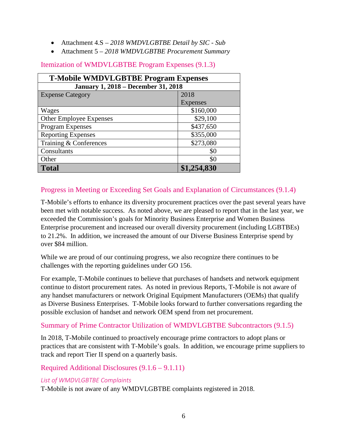- Attachment 4.S *2018 WMDVLGBTBE Detail by SIC - Sub*
- Attachment 5 *2018 WMDVLGBTBE Procurement Summary*

| <b>T-Mobile WMDVLGBTBE Program Expenses</b> |                 |  |  |  |  |  |  |  |  |  |  |
|---------------------------------------------|-----------------|--|--|--|--|--|--|--|--|--|--|
| <b>January 1, 2018 – December 31, 2018</b>  |                 |  |  |  |  |  |  |  |  |  |  |
| 2018<br><b>Expense Category</b>             |                 |  |  |  |  |  |  |  |  |  |  |
|                                             | <b>Expenses</b> |  |  |  |  |  |  |  |  |  |  |
| Wages                                       | \$160,000       |  |  |  |  |  |  |  |  |  |  |
| Other Employee Expenses                     | \$29,100        |  |  |  |  |  |  |  |  |  |  |
| Program Expenses                            | \$437,650       |  |  |  |  |  |  |  |  |  |  |
| <b>Reporting Expenses</b>                   | \$355,000       |  |  |  |  |  |  |  |  |  |  |
| Training & Conferences                      | \$273,080       |  |  |  |  |  |  |  |  |  |  |
| Consultants                                 | \$0             |  |  |  |  |  |  |  |  |  |  |
| Other                                       | \$0             |  |  |  |  |  |  |  |  |  |  |
| <b>Total</b>                                | \$1,254,830     |  |  |  |  |  |  |  |  |  |  |

#### <span id="page-7-0"></span>Itemization of WMDVLGBTBE Program Expenses (9.1.3)

#### <span id="page-7-1"></span>Progress in Meeting or Exceeding Set Goals and Explanation of Circumstances (9.1.4)

T-Mobile's efforts to enhance its diversity procurement practices over the past several years have been met with notable success. As noted above, we are pleased to report that in the last year, we exceeded the Commission's goals for Minority Business Enterprise and Women Business Enterprise procurement and increased our overall diversity procurement (including LGBTBEs) to 21.2%. In addition, we increased the amount of our Diverse Business Enterprise spend by over \$84 million.

While we are proud of our continuing progress, we also recognize there continues to be challenges with the reporting guidelines under GO 156.

For example, T-Mobile continues to believe that purchases of handsets and network equipment continue to distort procurement rates. As noted in previous Reports, T-Mobile is not aware of any handset manufacturers or network Original Equipment Manufacturers (OEMs) that qualify as Diverse Business Enterprises. T-Mobile looks forward to further conversations regarding the possible exclusion of handset and network OEM spend from net procurement.

#### <span id="page-7-2"></span>Summary of Prime Contractor Utilization of WMDVLGBTBE Subcontractors (9.1.5)

In 2018, T-Mobile continued to proactively encourage prime contractors to adopt plans or practices that are consistent with T-Mobile's goals. In addition, we encourage prime suppliers to track and report Tier II spend on a quarterly basis.

#### <span id="page-7-3"></span>Required Additional Disclosures (9.1.6 – 9.1.11)

#### *List of WMDVLGBTBE Complaints*

T-Mobile is not aware of any WMDVLGBTBE complaints registered in 2018.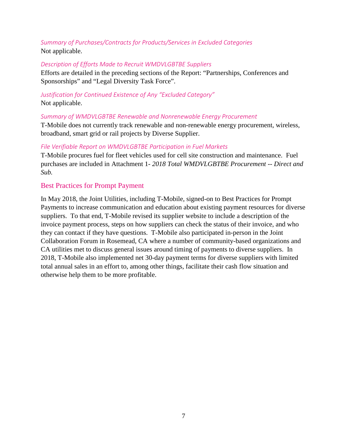#### *Summary of Purchases/Contracts for Products/Services in Excluded Categories* Not applicable.

#### *Description of Efforts Made to Recruit WMDVLGBTBE Suppliers*

Efforts are detailed in the preceding sections of the Report: "Partnerships, Conferences and Sponsorships" and "Legal Diversity Task Force".

#### *Justification for Continued Existence of Any "Excluded Category"* Not applicable.

*Summary of WMDVLGBTBE Renewable and Nonrenewable Energy Procurement*

T-Mobile does not currently track renewable and non-renewable energy procurement, wireless, broadband, smart grid or rail projects by Diverse Supplier.

#### *File Verifiable Report on WMDVLGBTBE Participation in Fuel Markets*

T-Mobile procures fuel for fleet vehicles used for cell site construction and maintenance. Fuel purchases are included in Attachment 1- *2018 Total WMDVLGBTBE Procurement -- Direct and Sub.*

#### Best Practices for Prompt Payment

<span id="page-8-0"></span>In May 2018, the Joint Utilities, including T-Mobile, signed-on to Best Practices for Prompt Payments to increase communication and education about existing payment resources for diverse suppliers. To that end, T-Mobile revised its supplier website to include a description of the invoice payment process, steps on how suppliers can check the status of their invoice, and who they can contact if they have questions. T-Mobile also participated in-person in the Joint Collaboration Forum in Rosemead, CA where a number of community-based organizations and CA utilities met to discuss general issues around timing of payments to diverse suppliers. In 2018, T-Mobile also implemented net 30-day payment terms for diverse suppliers with limited total annual sales in an effort to, among other things, facilitate their cash flow situation and otherwise help them to be more profitable.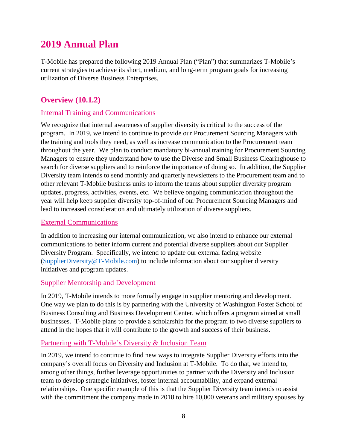## **2019 Annual Plan**

T-Mobile has prepared the following 2019 Annual Plan ("Plan") that summarizes T-Mobile's current strategies to achieve its short, medium, and long-term program goals for increasing utilization of Diverse Business Enterprises.

#### <span id="page-9-0"></span>**Overview (10.1.2)**

#### <span id="page-9-1"></span>Internal Training and Communications

We recognize that internal awareness of supplier diversity is critical to the success of the program. In 2019, we intend to continue to provide our Procurement Sourcing Managers with the training and tools they need, as well as increase communication to the Procurement team throughout the year. We plan to conduct mandatory bi-annual training for Procurement Sourcing Managers to ensure they understand how to use the Diverse and Small Business Clearinghouse to search for diverse suppliers and to reinforce the importance of doing so. In addition, the Supplier Diversity team intends to send monthly and quarterly newsletters to the Procurement team and to other relevant T-Mobile business units to inform the teams about supplier diversity program updates, progress, activities, events, etc. We believe ongoing communication throughout the year will help keep supplier diversity top-of-mind of our Procurement Sourcing Managers and lead to increased consideration and ultimately utilization of diverse suppliers.

#### External Communications

In addition to increasing our internal communication, we also intend to enhance our external communications to better inform current and potential diverse suppliers about our Supplier Diversity Program. Specifically, we intend to update our external facing website [\(SupplierDiversity@T-Mobile.com\)](mailto:SupplierDiversity@T-Mobile.com) to include information about our supplier diversity initiatives and program updates.

#### Supplier Mentorship and Development

In 2019, T-Mobile intends to more formally engage in supplier mentoring and development. One way we plan to do this is by partnering with the University of Washington Foster School of Business Consulting and Business Development Center, which offers a program aimed at small businesses. T-Mobile plans to provide a scholarship for the program to two diverse suppliers to attend in the hopes that it will contribute to the growth and success of their business.

#### <span id="page-9-2"></span>Partnering with T-Mobile's Diversity & Inclusion Team

In 2019, we intend to continue to find new ways to integrate Supplier Diversity efforts into the company's overall focus on Diversity and Inclusion at T-Mobile. To do that, we intend to, among other things, further leverage opportunities to partner with the Diversity and Inclusion team to develop strategic initiatives, foster internal accountability, and expand external relationships. One specific example of this is that the Supplier Diversity team intends to assist with the commitment the company made in 2018 to hire 10,000 veterans and military spouses by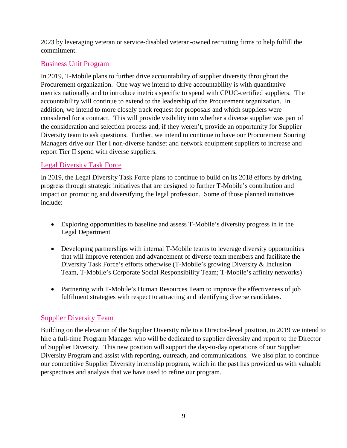2023 by leveraging veteran or service-disabled veteran-owned recruiting firms to help fulfill the commitment.

#### <span id="page-10-0"></span>Business Unit Program

In 2019, T-Mobile plans to further drive accountability of supplier diversity throughout the Procurement organization. One way we intend to drive accountability is with quantitative metrics nationally and to introduce metrics specific to spend with CPUC-certified suppliers. The accountability will continue to extend to the leadership of the Procurement organization. In addition, we intend to more closely track request for proposals and which suppliers were considered for a contract. This will provide visibility into whether a diverse supplier was part of the consideration and selection process and, if they weren't, provide an opportunity for Supplier Diversity team to ask questions. Further, we intend to continue to have our Procurement Souring Managers drive our Tier I non-diverse handset and network equipment suppliers to increase and report Tier II spend with diverse suppliers.

#### <span id="page-10-1"></span>Legal Diversity Task Force

In 2019, the Legal Diversity Task Force plans to continue to build on its 2018 efforts by driving progress through strategic initiatives that are designed to further T-Mobile's contribution and impact on promoting and diversifying the legal profession. Some of those planned initiatives include:

- Exploring opportunities to baseline and assess T-Mobile's diversity progress in in the Legal Department
- Developing partnerships with internal T-Mobile teams to leverage diversity opportunities that will improve retention and advancement of diverse team members and facilitate the Diversity Task Force's efforts otherwise (T-Mobile's growing Diversity & Inclusion Team, T-Mobile's Corporate Social Responsibility Team; T-Mobile's affinity networks)
- Partnering with T-Mobile's Human Resources Team to improve the effectiveness of job fulfilment strategies with respect to attracting and identifying diverse candidates.

#### <span id="page-10-2"></span>Supplier Diversity Team

Building on the elevation of the Supplier Diversity role to a Director-level position, in 2019 we intend to hire a full-time Program Manager who will be dedicated to supplier diversity and report to the Director of Supplier Diversity. This new position will support the day-to-day operations of our Supplier Diversity Program and assist with reporting, outreach, and communications. We also plan to continue our competitive Supplier Diversity internship program, which in the past has provided us with valuable perspectives and analysis that we have used to refine our program.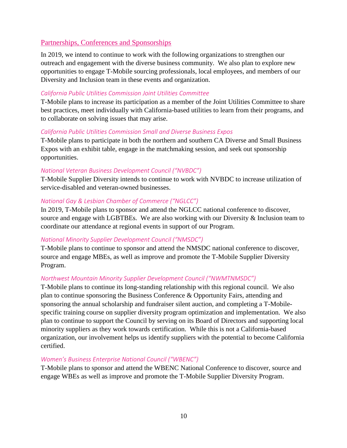#### <span id="page-11-0"></span>Partnerships, Conferences and Sponsorships

In 2019, we intend to continue to work with the following organizations to strengthen our outreach and engagement with the diverse business community. We also plan to explore new opportunities to engage T-Mobile sourcing professionals, local employees, and members of our Diversity and Inclusion team in these events and organization.

#### *California Public Utilities Commission Joint Utilities Committee*

T-Mobile plans to increase its participation as a member of the Joint Utilities Committee to share best practices, meet individually with California-based utilities to learn from their programs, and to collaborate on solving issues that may arise.

#### *California Public Utilities Commission Small and Diverse Business Expos*

T-Mobile plans to participate in both the northern and southern CA Diverse and Small Business Expos with an exhibit table, engage in the matchmaking session, and seek out sponsorship opportunities.

#### *National Veteran Business Development Council ("NVBDC")*

T-Mobile Supplier Diversity intends to continue to work with NVBDC to increase utilization of service-disabled and veteran-owned businesses.

#### *National Gay & Lesbian Chamber of Commerce ("NGLCC")*

In 2019, T-Mobile plans to sponsor and attend the NGLCC national conference to discover, source and engage with LGBTBEs. We are also working with our Diversity & Inclusion team to coordinate our attendance at regional events in support of our Program.

#### *National Minority Supplier Development Council ("NMSDC")*

T-Mobile plans to continue to sponsor and attend the NMSDC national conference to discover, source and engage MBEs, as well as improve and promote the T-Mobile Supplier Diversity Program.

#### *Northwest Mountain Minority Supplier Development Council ("NWMTNMSDC")*

T-Mobile plans to continue its long-standing relationship with this regional council. We also plan to continue sponsoring the Business Conference & Opportunity Fairs, attending and sponsoring the annual scholarship and fundraiser silent auction, and completing a T-Mobilespecific training course on supplier diversity program optimization and implementation. We also plan to continue to support the Council by serving on its Board of Directors and supporting local minority suppliers as they work towards certification. While this is not a California-based organization, our involvement helps us identify suppliers with the potential to become California certified.

#### *Women's Business Enterprise National Council ("WBENC")*

T-Mobile plans to sponsor and attend the WBENC National Conference to discover, source and engage WBEs as well as improve and promote the T-Mobile Supplier Diversity Program.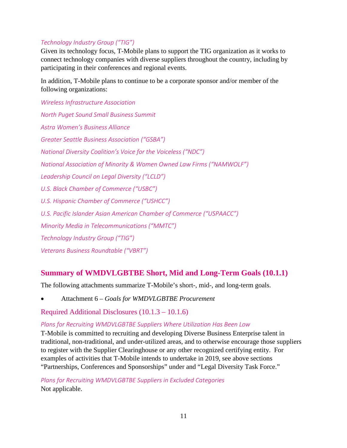#### *Technology Industry Group ("TIG")*

Given its technology focus, T-Mobile plans to support the TIG organization as it works to connect technology companies with diverse suppliers throughout the country, including by participating in their conferences and regional events.

In addition, T-Mobile plans to continue to be a corporate sponsor and/or member of the following organizations:

*Wireless Infrastructure Association North Puget Sound Small Business Summit Astra Women's Business Alliance Greater Seattle Business Association ("GSBA") National Diversity Coalition's Voice for the Voiceless ("NDC") National Association of Minority & Women Owned Law Firms ("NAMWOLF") Leadership Council on Legal Diversity ("LCLD") U.S. Black Chamber of Commerce ("USBC") U.S. Hispanic Chamber of Commerce ("USHCC") U.S. Pacific Islander Asian American Chamber of Commerce ("USPAACC") Minority Media in Telecommunications ("MMTC") Technology Industry Group ("TIG") Veterans Business Roundtable ("VBRT")*

#### <span id="page-12-0"></span>**Summary of WMDVLGBTBE Short, Mid and Long-Term Goals (10.1.1)**

The following attachments summarize T-Mobile's short-, mid-, and long-term goals.

• Attachment 6 – *Goals for WMDVLGBTBE Procurement*

<span id="page-12-1"></span>Required Additional Disclosures (10.1.3 – 10.1.6)

#### *Plans for Recruiting WMDVLGBTBE Suppliers Where Utilization Has Been Low*

T-Mobile is committed to recruiting and developing Diverse Business Enterprise talent in traditional, non-traditional, and under-utilized areas, and to otherwise encourage those suppliers to register with the Supplier Clearinghouse or any other recognized certifying entity. For examples of activities that T-Mobile intends to undertake in 2019, see above sections "Partnerships, Conferences and Sponsorships" under and "Legal Diversity Task Force."

*Plans for Recruiting WMDVLGBTBE Suppliers in Excluded Categories*  Not applicable.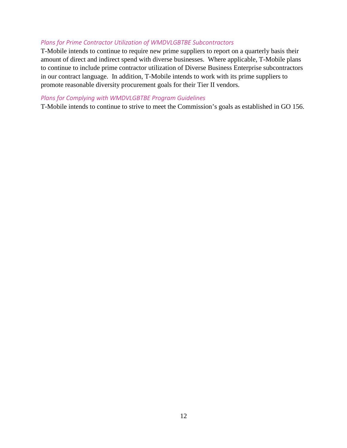#### *Plans for Prime Contractor Utilization of WMDVLGBTBE Subcontractors*

T-Mobile intends to continue to require new prime suppliers to report on a quarterly basis their amount of direct and indirect spend with diverse businesses. Where applicable, T-Mobile plans to continue to include prime contractor utilization of Diverse Business Enterprise subcontractors in our contract language. In addition, T-Mobile intends to work with its prime suppliers to promote reasonable diversity procurement goals for their Tier II vendors.

#### *Plans for Complying with WMDVLGBTBE Program Guidelines*

T-Mobile intends to continue to strive to meet the Commission's goals as established in GO 156.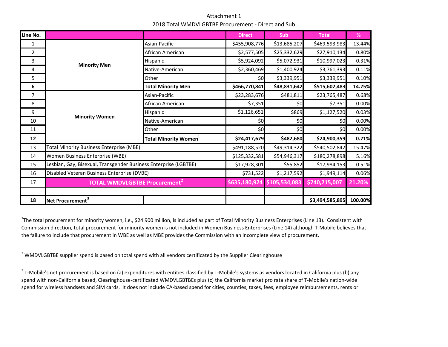Attachment 1 2018 Total WMDVLGBTBE Procurement ‐ Direct and Sub

| Line No.       |                                                                  |                             | <b>Direct</b> | <b>Sub</b>    | <b>Total</b>    | %       |
|----------------|------------------------------------------------------------------|-----------------------------|---------------|---------------|-----------------|---------|
| 1              |                                                                  | Asian-Pacific               | \$455,908,776 | \$13,685,207  | \$469,593,983   | 13.44%  |
| $\overline{2}$ |                                                                  | African American            | \$2,577,505   | \$25,332,629  | \$27,910,134    | 0.80%   |
| 3              | <b>Minority Men</b>                                              | Hispanic                    | \$5,924,092   | \$5,072,931   | \$10,997,023    | 0.31%   |
| 4              |                                                                  | Native-American             | \$2,360,469   | \$1,400,924   | \$3,761,393     | 0.11%   |
| 5              |                                                                  | Other                       | \$0           | \$3,339,951   | \$3,339,951     | 0.10%   |
| 6              |                                                                  | <b>Total Minority Men</b>   | \$466,770,841 | \$48,831,642  | \$515,602,483   | 14.75%  |
| $\overline{7}$ |                                                                  | Asian-Pacific               | \$23,283,676  | \$481,811     | \$23,765,487    | 0.68%   |
| 8              |                                                                  | African American            | \$7,351       | \$0           | \$7,351         | 0.00%   |
| 9              |                                                                  | Hispanic                    | \$1,126,651   | \$869         | \$1,127,520     | 0.03%   |
| 10             | <b>Minority Women</b>                                            | Native-American             | \$0           | \$0           | \$0             | 0.00%   |
| 11             |                                                                  | Other                       | \$0           | \$0           | \$0             | 0.00%   |
| 12             |                                                                  | <b>Total Minority Women</b> | \$24,417,679  | \$482,680     | \$24,900,359    | 0.71%   |
| 13             | Total Minority Business Enterprise (MBE)                         |                             | \$491,188,520 | \$49,314,322  | \$540,502,842   | 15.47%  |
| 14             | Women Business Enterprise (WBE)                                  |                             | \$125,332,581 | \$54,946,317  | \$180,278,898   | 5.16%   |
| 15             | Lesbian, Gay, Bisexual, Transgender Business Enterprise (LGBTBE) |                             | \$17,928,301  | \$55,852      | \$17,984,153    | 0.51%   |
| 16             | Disabled Veteran Business Enterprise (DVBE)                      |                             | \$731,522     | \$1,217,592   | \$1,949,114     | 0.06%   |
| 17             | <b>TOTAL WMDVLGBTBE Procurement<sup>2</sup></b>                  |                             | \$635,180,924 | \$105,534,083 | \$740,715,007   | 21.20%  |
|                |                                                                  |                             |               |               |                 |         |
| 18             | Net Procurement <sup>3</sup>                                     |                             |               |               | \$3,494,585,895 | 100.00% |

<sup>1</sup>The total procurement for minority women, i.e., \$24.900 million, is included as part of Total Minority Business Enterprises (Line 13). Consistent with Commission direction, total procurement for minority women is not included in Women Business Enterprises (Line 14) although T‐Mobile believes that the failure to include that procurement in WBE as well as MBE provides the Commission with an incomplete view of procurement.

<sup>2</sup> WMDVLGBTBE supplier spend is based on total spend with all vendors certificated by the Supplier Clearinghouse

 $3$  T-Mobile's net procurement is based on (a) expenditures with entities classified by T-Mobile's systems as vendors located in California plus (b) any spend with non‐California based, Clearinghouse‐certificated WMDVLGBTBEs plus (c) the California market pro rata share of T‐Mobile's nation‐wide spend for wireless handsets and SIM cards. It does not include CA-based spend for cities, counties, taxes, fees, employee reimbursements, rents or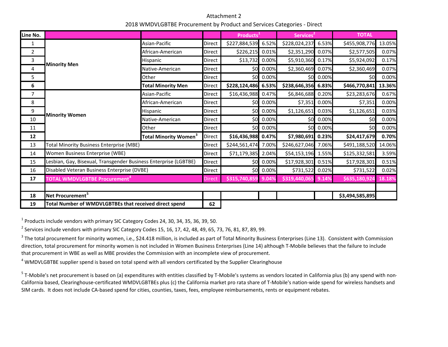Attachment 2 2018 WMDVLGBTBE Procurement by Product and Services Categories ‐ Direct

| Line No.       |                                                                  |                                         |               | <b>Products</b>     |           | Services <sup>2</sup> |           | <b>TOTAL</b>    |        |
|----------------|------------------------------------------------------------------|-----------------------------------------|---------------|---------------------|-----------|-----------------------|-----------|-----------------|--------|
| 1              |                                                                  | Asian-Pacific                           | <b>Direct</b> | \$227,884,539 6.52% |           | \$228,024,237         | 6.53%     | \$455,908,776   | 13.05% |
| $\overline{2}$ |                                                                  | African-American                        | <b>Direct</b> | \$226,215           | 0.01%     | \$2,351,290 0.07%     |           | \$2,577,505     | 0.07%  |
| 3              | <b>Minority Men</b>                                              | Hispanic                                | <b>Direct</b> | \$13,732            | 0.00%     | \$5,910,360 0.17%     |           | \$5,924,092     | 0.17%  |
| 4              |                                                                  | Native-American                         | <b>Direct</b> | \$0                 | 0.00%     | \$2,360,469           | 0.07%     | \$2,360,469     | 0.07%  |
| 5              |                                                                  | Other                                   | Direct        | \$0                 | 0.00%     |                       | \$0 0.00% | \$0             | 0.00%  |
| 6              |                                                                  | <b>Total Minority Men</b>               | <b>Direct</b> | \$228,124,486 6.53% |           | \$238,646,356 6.83%   |           | \$466,770,841   | 13.36% |
| 7              |                                                                  | Asian-Pacific                           | <b>Direct</b> | \$16,436,988 0.47%  |           | \$6,846,688 0.20%     |           | \$23,283,676    | 0.67%  |
| 8              |                                                                  | African-American                        | <b>Direct</b> | \$0                 | 0.00%     | \$7,351               | 0.00%     | \$7,351         | 0.00%  |
| 9              | <b>Minority Women</b>                                            | Hispanic                                | <b>Direct</b> | \$0                 | 0.00%     | \$1,126,651           | 0.03%     | \$1,126,651     | 0.03%  |
| 10             |                                                                  | Native-American                         | <b>Direct</b> | \$0                 | 0.00%     |                       | \$0 0.00% | \$0             | 0.00%  |
| 11             |                                                                  | Other                                   | <b>Direct</b> |                     | \$0 0.00% |                       | \$0 0.00% | \$0             | 0.00%  |
| 12             |                                                                  | <b>Total Minority Women<sup>3</sup></b> | Direct        | \$16,436,988 0.47%  |           | \$7,980,691 0.23%     |           | \$24,417,679    | 0.70%  |
| 13             | Total Minority Business Enterprise (MBE)                         |                                         | <b>Direct</b> | \$244,561,474       | 7.00%     | \$246,627,046         | 7.06%     | \$491,188,520   | 14.06% |
| 14             | Women Business Enterprise (WBE)                                  |                                         | <b>Direct</b> | \$71,179,385        | 2.04%     | \$54,153,196          | 1.55%     | \$125,332,581   | 3.59%  |
| 15             | Lesbian, Gay, Bisexual, Transgender Business Enterprise (LGBTBE) |                                         | <b>Direct</b> | \$0                 | 0.00%     | \$17,928,301          | 0.51%     | \$17,928,301    | 0.51%  |
| 16             | Disabled Veteran Business Enterprise (DVBE)                      |                                         | Direct        | \$0                 | 0.00%     | \$731,522 0.02%       |           | \$731,522       | 0.02%  |
| 17             | TOTAL WMDVLGBTBE Procurement <sup>4</sup>                        |                                         | <b>Direct</b> | \$315,740,859       | 9.04%     | \$319,440,065         | 9.14%     | \$635,180,924   | 18.18% |
|                |                                                                  |                                         |               |                     |           |                       |           |                 |        |
| 18             | Net Procurement <sup>5</sup>                                     |                                         |               |                     |           |                       |           | \$3,494,585,895 |        |
| 19             | Total Number of WMDVLGBTBEs that received direct spend           | 62                                      |               |                     |           |                       |           |                 |        |

 $^1$  Products include vendors with primary SIC Category Codes 24, 30, 34, 35, 36, 39, 50.

<sup>2</sup> Services include vendors with primary SIC Category Codes 15, 16, 17, 42, 48, 49, 65, 73, 76, 81, 87, 89, 99.

 $^3$  The total procurement for minority women, i.e., \$24.418 million, is included as part of Total Minority Business Enterprises (Line 13). Consistent with Commission direction, total procurement for minority women is not included in Women Business Enterprises (Line 14) although T‐Mobile believes that the failure to include that procurement in WBE as well as MBE provides the Commission with an incomplete view of procurement.

 $^4$  WMDVLGBTBE supplier spend is based on total spend with all vendors certificated by the Supplier Clearinghouse

 $^5$  T-Mobile's net procurement is based on (a) expenditures with entities classified by T-Mobile's systems as vendors located in California plus (b) any spend with non-California based, Clearinghouse‐certificated WMDVLGBTBEs plus (c) the California market pro rata share of T‐Mobile's nation‐wide spend for wireless handsets and SIM cards. It does not include CA‐based spend for cities, counties, taxes, fees, employee reimbursements, rents or equipment rebates.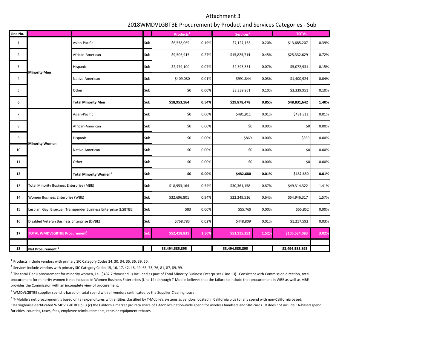#### Attachment 3 2018WMDVLGBTBE Procurement by Product and Services Categories ‐ Sub

| Line No.       |                                             |                                                                  |     | Products <sup>1</sup> |       | Services <sup>2</sup> |       | <b>TOTAL</b>    |       |
|----------------|---------------------------------------------|------------------------------------------------------------------|-----|-----------------------|-------|-----------------------|-------|-----------------|-------|
| $\mathbf{1}$   |                                             | Asian-Pacific                                                    | Sub | \$6,558,069           | 0.19% | \$7,127,138           | 0.20% | \$13,685,207    | 0.39% |
| $\overline{2}$ |                                             | African-American                                                 | Sub | \$9,506,915           | 0.27% | \$15,825,714          | 0.45% | \$25,332,629    | 0.72% |
| 3              |                                             | Hispanic                                                         | Sub | \$2,479,100           | 0.07% | \$2,593,831           | 0.07% | \$5,072,931     | 0.15% |
| $\overline{4}$ | <b>Minority Men</b>                         | Native-American                                                  | Sub | \$409,080             | 0.01% | \$991,844             | 0.03% | \$1,400,924     | 0.04% |
| 5              |                                             | Other                                                            | Sub | \$0                   | 0.00% | \$3,339,951           | 0.10% | \$3,339,951     | 0.10% |
| 6              |                                             | Total Minority Men                                               | Sub | \$18,953,164          | 0.54% | \$29,878,478          | 0.85% | \$48,831,642    | 1.40% |
| $\overline{7}$ |                                             | Asian-Pacific                                                    | Sub | \$0                   | 0.00% | \$481,811             | 0.01% | \$481,811       | 0.01% |
| 8              |                                             | African-American                                                 | Sub | \$0                   | 0.00% | \$0                   | 0.00% | \$0             | 0.00% |
| 9              |                                             | Hispanic                                                         | Sub | \$0                   | 0.00% | \$869                 | 0.00% | \$869           | 0.00% |
| 10             | <b>Minority Women</b>                       | Native-American                                                  | Sub | \$0                   | 0.00% | \$0                   | 0.00% | \$0             | 0.00% |
| 11             |                                             | Other                                                            | Sub | \$0                   | 0.00% | \$0                   | 0.00% | \$0             | 0.00% |
| 12             |                                             | Total Minority Women <sup>3</sup>                                | Sub | \$0                   | 0.00% | \$482,680             | 0.01% | \$482,680       | 0.01% |
| 13             | Total Minority Business Enterprise (MBE)    |                                                                  | Sub | \$18,953,164          | 0.54% | \$30,361,158          | 0.87% | \$49,314,322    | 1.41% |
| 14             | Women Business Enterprise (WBE)             |                                                                  | Sub | \$32,696,801          | 0.94% | \$22,249,516          | 0.64% | \$54,946,317    | 1.57% |
| 15             |                                             | Lesbian, Gay, Bisexual, Transgender Business Enterprise (LGBTBE) | Sub | \$83                  | 0.00% | \$55,769              | 0.00% | \$55,852        | 0.00% |
| 16             | Disabled Veteran Business Enterprise (DVBE) |                                                                  | Sub | \$768,783             | 0.02% | \$448,809             | 0.01% | \$1,217,592     | 0.03% |
| 17             | <b>FOTAL WMDVLGBTBE Procurement </b>        |                                                                  | Sub | \$52,418,831          | 1.50% | \$53,115,252          | 1.52% | \$105,534,083   | 3.02% |
|                |                                             |                                                                  |     |                       |       |                       |       |                 |       |
| 18             | Net Procurement <sup>5</sup>                |                                                                  |     | \$3,494,585,895       |       | \$3,494,585,895       |       | \$3,494,585,895 |       |

 $<sup>1</sup>$  Products include vendors with primary SIC Category Codes 24, 30, 34, 35, 36, 39, 50.</sup>

<sup>2</sup> Services include vendors with primary SIC Category Codes 15, 16, 17, 42, 48, 49, 65, 73, 76, 81, 87, 89, 99.

<sup>3</sup> The total Tier II procurement for minority women, i.e., \$482.7 thousand, is included as part of Total Minority Business Enterprises (Line 13). Consistent with Commission direction, total procurement for minority women is not included in Women Business Enterprises (Line 14) although T‐Mobile believes that the failure to include that procurement in WBE as well as MBE provides the Commission with an incomplete view of procurement.

 $^4$  WMDVLGBTBE supplier spend is based on total spend with all vendors certificated by the Supplier Clearinghouse

5 T‐Mobile's net procurement is based on (a) expenditures with entities classified by T‐Mobile's systems as vendors located in California plus (b) any spend with non‐California based, Clearinghouse‐certificated WMDVLGBTBEs plus (c) the California market pro rata share of T‐Mobile's nation‐wide spend for wireless handsets and SIM cards. It does not include CA‐based spend for cities, counties, taxes, fees, employee reimbursements, rents or equipment rebates.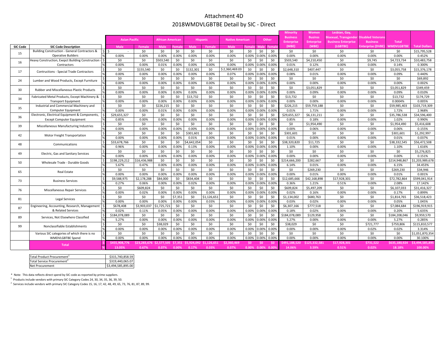#### Attachment 4D 2018WMDVLGBTBE Detail by SIC ‐ Direct

| <b>Business</b><br><b>Businss</b><br><b>Bisexual, Transgender</b><br><b>Disabled Veterans</b><br><b>Asian Pacific</b><br>African American<br><b>Hispanic</b><br><b>Native American</b><br>Other<br><b>Business Enterprise</b><br><b>Total</b><br><b>Enterprise</b><br><b>Enterprise</b><br><b>Business</b><br><b>SIC Code</b><br>(MBE)<br>(WBE)<br>(LGBTBE)<br>nterprise (DVBE)<br><b>WMDVLGBTBI</b><br><b>Total Dollars</b><br><b>SIC Code Description</b><br>Male<br>Male<br>Male<br>Female<br>Male<br>فأجاب<br>Female<br>ema<br>ama<br>s l<br>Building Construction - General Contractors &<br>\$0<br>\$0<br>\$0<br>\$0<br>\$0<br>\$0<br>\$0<br>\$0<br>\$0<br>\$0<br>\$0<br>\$0<br>\$0<br>\$0<br>\$15.795.528<br>15<br>0.00%<br>0.00%<br>0.00%<br>0.00%<br>0.00%<br>0.00%<br>0.00%<br>0.00%<br>0.00%<br>0.00%<br>0.00%<br>0.00%<br>0.00%<br>0.00%<br>0.00%<br>0.452%<br><b>Operative Builders</b><br>Heavy Construction, Exepct Building Construction - \$<br>\$0<br>\$0<br>\$503,540<br>\$0<br>\$0<br>\$0<br>50<br>\$0<br>\$0<br>\$0<br>\$503,540<br>\$4,210,450<br>\$0<br>\$9,745<br>\$4,723,734<br>\$10,483,758<br>16<br>0.00%<br>0.00%<br>0.00%<br>0.00%<br>0.00%<br>0.00%<br>0.00%<br>0.00%<br>0.00%<br>Contractors<br>0.01%<br>0.00%<br>0.01%<br>0.12%<br>0.00%<br>0.14%<br>0.300%<br>\$0<br>\$0<br>\$0<br>\$155.540<br>\$0<br>\$132.301<br>\$0<br>\$2.360.469.03<br>\$0<br>\$0<br>\$0<br>\$2,648,310<br>\$407.447<br>\$0<br>\$3,055,758<br>\$15,376,178<br>17<br>Contructions - Special Trade Contractors<br>0.00%<br>0.00%<br>0.00%<br>0.00%<br>0.00%<br>0.00%<br>0.00%<br>0.00%<br>0.00%<br>0.00%<br>0.08%<br>0.01%<br>0.09%<br>0.440%<br>0.00%<br>0.07%<br>\$0<br>\$0<br>\$0<br>\$0<br>\$0<br>\$0<br>\$0<br>\$0<br>\$0<br>\$0<br>\$0<br>\$0<br>\$0<br>\$69,892<br>\$0<br>\$0<br>24<br>Lumber and Wood Products, Except Furniture<br>0.00%<br>0.00%<br>0.00%<br>0.00%<br>0.00%<br>0.00%<br>0.00%<br>0.00%<br>0.00%<br>0.00%<br>0.00%<br>0.00%<br>0.00%<br>0.00%<br>0.00%<br>0.002%<br>\$0<br>\$0<br>\$0<br>\$0<br>\$0<br>\$0<br>\$0<br>\$0<br>\$0<br>\$0<br>\$3,051,829<br>\$0<br>\$0<br>\$3,051,829<br>\$349,459<br>\$0<br>Rubber and Miscellaneous Plastic Products<br>30<br>0.00%<br>0.00%<br>0.00%<br>0.00%<br>0.00%<br>0.00%<br>0.00%<br>0.00%<br>0.00%<br>0.00%<br>0.00%<br>0.09%<br>0.00%<br>0.00%<br>0.09%<br>0.010%<br>Fabricated Metal Products, Except Machinery &<br>\$0<br>\$0<br>\$0<br>\$0<br>\$13,732<br>\$0<br>50<br>50<br>\$0<br>\$0<br>\$13.732<br>\$0<br>\$0<br>\$0<br>\$13,732<br>\$174,729<br>34<br>0.00%<br>0.00%<br>0.00%<br>0.00%<br>0.00%<br>0.00%<br>0.00%<br>0.00%<br>0.00%<br>0.00%<br>0.00%<br>0.0004%<br>0.005%<br><b>Transport Equipment</b><br>0.00%<br>0.00%<br>0.00%<br>\$0<br>\$0<br>\$226,215<br>\$0<br>\$0<br>\$0<br>\$0<br>\$0<br>\$0<br>\$0<br>\$226,215<br>\$0<br>\$0<br>Industrial and Commercial Machinery and<br>\$59,759,188<br>\$59,985,403<br>\$103,719,309<br>35<br>0.00%<br>0.00%<br>0.00%<br>0.00%<br>0.00%<br>0.00%<br>0.01%<br>0.00%<br>0.00%<br>0.00%<br>0.00%<br>0.00%<br>0.01%<br>1.71%<br>1.72%<br>2.968%<br><b>Computer Equipment</b><br>Electronic, Electrical Equipment & Components,<br>\$0<br>\$0<br>\$29,655,327<br>\$0<br>\$0<br>\$0<br>\$0<br>\$0<br>\$0<br>\$0<br>\$0<br>\$29,655,327<br>\$6,131,211<br>\$0<br>\$35,786,538<br>\$34,596,400<br>36<br>0.85%<br>0.00%<br>0.00%<br>0.00%<br>0.00%<br>0.00%<br>0.00%<br>0.00%<br>0.00%<br>0.85%<br>0.18%<br>0.00%<br>0.00%<br>1.02%<br>0.990%<br>0.00%<br><b>Except Computer Equipment</b><br>$\mathsf{S}$<br>\$0<br>\$0<br>\$0<br>\$0<br>\$0<br>\$0<br>\$0<br>50<br>\$0<br>50<br>50<br>\$0<br>50<br>\$1,954,490<br>\$1,954,490<br>\$5,416,608<br>39<br>Miscellaneous Manufacturing Industries<br>%<br>0.00%<br>0.00%<br>0.00%<br>0.00%<br>0.00%<br>0.00%<br>0.00%<br>0.00%<br>0.00%<br>0.00%<br>0.00%<br>0.00%<br>0.00%<br>0.06%<br>0.06%<br>0.155%<br>$\overline{\mathsf{S}}$<br>\$301,601<br>\$0<br>\$0<br>\$0<br>\$0<br>\$0<br>\$0<br>\$301,601<br>\$0<br>\$0<br>\$0<br>\$0<br>\$0<br>\$0<br>\$301,601<br>\$1,292,997<br>42<br>Motor Freight Transportation<br>%<br>0.00%<br>0.00%<br>0.00%<br>0.00%<br>0.00%<br>0.00%<br>0.00%<br>0.00%<br>0.01%<br>0.00%<br>0.00%<br>0.00%<br>0.01%<br>0.00%<br>0.01%<br>0.037%<br>\$0<br>\$0<br>50<br>\$0<br>\$0<br>\$0<br>\$0<br>\$33,678,766<br>\$0<br>\$0<br>\$4,642,05<br>\$0<br>\$38,320,820<br>\$11,725<br>\$38,332,545<br>\$56,472,508<br>48<br>Communications<br>0.00%<br>0.96%<br>0.00%<br>0.00%<br>0.00%<br>0.00%<br>0.00%<br>0.00%<br>$0.00\%$<br>1.10%<br>0.00%<br>0.00%<br>0.00%<br>1.10%<br>1.616%<br>0.13%<br>\$0<br>\$0<br>\$0<br>\$0<br>\$0<br>\$0<br>\$0<br>\$0<br>\$0<br>\$0<br>\$0<br>\$0<br>\$0<br>\$0<br>\$0<br>\$5,276,825<br>49<br>Electric, Gas and Sanitary Services<br>0.00%<br>0.00%<br>0.00%<br>0.00%<br>0.00%<br>0.00%<br>0.00%<br>0.00%<br>0.00%<br>0.00%<br>0.00%<br>0.00%<br>0.00%<br>0.00%<br>0.00%<br>0.151%<br>\$0<br>\$0<br>\$198,229,212<br>16,436,988<br>\$0<br>\$0<br>\$0<br>50<br>\$0<br>\$0<br>\$0<br>\$214,666,200<br>\$282,667<br>\$0<br>\$214,948,867<br>\$1,203,989,678<br>50<br>Wholesale Trade - Durable Goods<br>0.00%<br>0.00%<br>0.00%<br>0.00%<br>0.00%<br>0.00%<br>0.00%<br>0.00%<br>0.00%<br>0.00%<br>5.67%<br>0.47%<br>6.14%<br>0.01%<br>6.15%<br>34.453%<br>$\overline{\mathsf{S}}$<br>\$0<br>\$0<br>\$0<br>\$0<br>\$0<br>50<br>\$0<br>\$0<br>50<br>\$269,230<br>\$0<br>\$0<br>\$269,230<br>50<br>\$0<br>\$34,946<br>65<br>Real Estate<br>0.00%<br>0.00%<br>0.00%<br>0.00%<br>0.00%<br>0.00%<br>0.00%<br>0.00%<br>0.00%<br>0.00%<br>0.00%<br>0.00%<br>0.00%<br>0.01%<br>0.01%<br>0.001%<br>$\overline{\mathsf{S}}$<br>\$9,588,975<br>\$2.178.288<br>\$0<br>\$0<br>\$0<br>\$12,685,666<br>\$42,168,898<br>\$17,928,301<br>\$0<br>\$72,782,864<br>\$599,041,914<br>\$84,000<br>\$0<br>\$834,404<br>\$0<br>\$0<br>73<br><b>Business Services</b><br>0.00%<br>0.00%<br>0.00%<br>0.00%<br>0.00%<br>0.00%<br>0.27%<br>0.06%<br>0.00%<br>0.00%<br>0.02%<br>0.36%<br>1.21%<br>0.51%<br>2.08%<br>17.142%<br>s,<br>\$0<br>\$609,824<br>\$0<br>\$0<br>\$0<br>\$0<br>\$0<br>\$0<br>\$0<br>\$0<br>\$609,824<br>\$5,497,209<br>\$0<br>\$0<br>\$6,107,033<br>\$31,416,327<br>76<br>Miscellaneous Repair Services<br>0.00%<br>0.00%<br>0.02%<br>0.00%<br>0.00%<br>0.00%<br>0.00%<br>0.00%<br>0.00%<br>0.00%<br>0.02%<br>0.16%<br>0.00%<br>0.00%<br>0.17%<br>0.899%<br>$\overline{\mathsf{s}}$<br>\$0<br>\$0<br>\$0<br>\$0<br>\$7,351<br>\$0<br>\$1,126,651<br>50<br>\$0<br>\$0<br>\$0<br>\$1,134,002<br>\$680,763<br>\$0<br>\$1,814,765<br>\$36,518,423<br>Legal Services<br>81<br>0.00%<br>0.00%<br>0.00%<br>0.00%<br>0.00%<br>0.00%<br>0.00%<br>0.00%<br>0.03%<br>0.02%<br>0.00%<br>0.00%<br>0.05%<br>1.045%<br>0.03%<br>0.00%<br>50<br>\$0<br>Engineering, Accounting, Research, Management<br>$\mathsf{S}$<br>\$678.408<br>\$3.903.037<br>\$1.725.721<br>\$0<br>50<br>\$0<br>\$0<br>\$0<br>\$0<br>\$6.307.166<br>\$777.518<br>\$0<br>\$7,084,684<br>\$196,919,915<br>87<br>0.00%<br>0.00%<br>0.00%<br>0.00%<br>& Related Services<br>0.02%<br>0.11%<br>0.05%<br>0.00%<br>0.00%<br>0.00%<br>0.00%<br>0.18%<br>0.02%<br>0.00%<br>0.20%<br>5.635%<br>$\mathsf{S}$<br>\$0<br>\$0<br>50<br>\$0<br>\$0<br>\$0<br>\$0<br>\$184,078,089<br>\$0<br>\$0<br>\$0<br>\$0<br>\$184,078,089<br>\$129,958<br>\$184,208,046<br>\$9,959,570<br>89<br>Services, Not Elsewhere Classified<br>0.00%<br>0.00%<br>0.00%<br>0.00%<br>0.00%<br>0.00%<br>0.00%<br>5.27%<br>5.27%<br>0.00%<br>0.00%<br>0.00%<br>0.00%<br>5.27%<br>0.00%<br>0.285%<br>$\mathsf{S}$<br>\$0<br>\$0<br>\$721,777<br>\$0<br>\$38,029<br>\$0<br>\$0<br>\$0<br>\$0<br>\$0<br>\$0<br>\$0<br>\$38,029<br>\$0<br>\$759,806<br>\$115,810,577<br>Nonclassifiable Establishments<br>99<br>%<br>0.00%<br>0.00%<br>0.00%<br>0.00%<br>0.00%<br>0.00%<br>0.00%<br>0.00%<br>0.00%<br>0.00%<br>0.00%<br>0.02%<br>0.00%<br>0.00%<br>0.02%<br>3.314%<br>$\mathsf{s}$<br>\$0<br>\$0<br>\$0<br>\$0<br>\$0<br>\$0<br>\$0<br>\$0<br>\$0<br>\$0<br>\$0<br>\$0<br>\$0<br>\$0<br>Various SIC categories of which there is no<br>\$0<br>\$1,051,870,354<br>0.00%<br>0.00%<br>0.00%<br>0.00%<br>0.00%<br>0.00%<br>0.00%<br>0.00%<br>0.00%<br>0.00%<br>0.00%<br>0.00%<br><b>WMDVLGBTBE Spend</b><br>0.00%<br>0.00%<br>0.00%<br>30.100%<br>\$731.522<br>\$23.283.676<br>\$5.924.092<br>\$0\$<br>\$0<br>\$491.188.520<br>\$125.332.581<br>\$3,494,585,895<br>\$455.908.776<br>\$2.577.505<br>\$7.351<br>\$1.126.651<br>\$2,360,469<br>\$17.928.301<br>\$635.180.924<br>-SO<br>Total<br>13.05%<br>$0.00\%$ 0.00%<br>3.59%<br>0.51%<br>0.02%<br>18.18%<br>100.00%<br>0.67%<br>0.07%<br>0.00%<br>0.03%<br>0.07%<br>0.00%<br>14.06%<br>0.17% |  |  |  |  |  |  |  |  |  |  | Minority | Women | Lesbian, Gay, |  |  |  |
|--------------------------------------------------------------------------------------------------------------------------------------------------------------------------------------------------------------------------------------------------------------------------------------------------------------------------------------------------------------------------------------------------------------------------------------------------------------------------------------------------------------------------------------------------------------------------------------------------------------------------------------------------------------------------------------------------------------------------------------------------------------------------------------------------------------------------------------------------------------------------------------------------------------------------------------------------------------------------------------------------------------------------------------------------------------------------------------------------------------------------------------------------------------------------------------------------------------------------------------------------------------------------------------------------------------------------------------------------------------------------------------------------------------------------------------------------------------------------------------------------------------------------------------------------------------------------------------------------------------------------------------------------------------------------------------------------------------------------------------------------------------------------------------------------------------------------------------------------------------------------------------------------------------------------------------------------------------------------------------------------------------------------------------------------------------------------------------------------------------------------------------------------------------------------------------------------------------------------------------------------------------------------------------------------------------------------------------------------------------------------------------------------------------------------------------------------------------------------------------------------------------------------------------------------------------------------------------------------------------------------------------------------------------------------------------------------------------------------------------------------------------------------------------------------------------------------------------------------------------------------------------------------------------------------------------------------------------------------------------------------------------------------------------------------------------------------------------------------------------------------------------------------------------------------------------------------------------------------------------------------------------------------------------------------------------------------------------------------------------------------------------------------------------------------------------------------------------------------------------------------------------------------------------------------------------------------------------------------------------------------------------------------------------------------------------------------------------------------------------------------------------------------------------------------------------------------------------------------------------------------------------------------------------------------------------------------------------------------------------------------------------------------------------------------------------------------------------------------------------------------------------------------------------------------------------------------------------------------------------------------------------------------------------------------------------------------------------------------------------------------------------------------------------------------------------------------------------------------------------------------------------------------------------------------------------------------------------------------------------------------------------------------------------------------------------------------------------------------------------------------------------------------------------------------------------------------------------------------------------------------------------------------------------------------------------------------------------------------------------------------------------------------------------------------------------------------------------------------------------------------------------------------------------------------------------------------------------------------------------------------------------------------------------------------------------------------------------------------------------------------------------------------------------------------------------------------------------------------------------------------------------------------------------------------------------------------------------------------------------------------------------------------------------------------------------------------------------------------------------------------------------------------------------------------------------------------------------------------------------------------------------------------------------------------------------------------------------------------------------------------------------------------------------------------------------------------------------------------------------------------------------------------------------------------------------------------------------------------------------------------------------------------------------------------------------------------------------------------------------------------------------------------------------------------------------------------------------------------------------------------------------------------------------------------------------------------------------------------------------------------------------------------------------------------------------------------------------------------------------------------------------------------------------------------------------------------------------------------------------------------------------------------------------------------------------------------------------------------------------------------------------------------------------------------------------------------------------------------------------------------------------------------------------------------------------------------------------------------------------------------------------------------------------------------------------------------------------------------------------------------------------------------------------------------------------------------------------------------------------------------------------------------------------------------------------------------------------------------------------------------------------------------------------------------------------------------------------------------------------------------------------------------------------------------------------------------------------------------------------------------------------------------------------------------------------------------------------------------------------------------------------------------------------------------------------------------------------------------------------------------------------------------------------------------------------------------------------------------------------------------------------------------------------------------------------------------------------------------------------------------------------------------------------------------------------------------------------------------------------------------------------------------------------------------------------------------------------------------------------------------------------------------------------------------|--|--|--|--|--|--|--|--|--|--|----------|-------|---------------|--|--|--|
|                                                                                                                                                                                                                                                                                                                                                                                                                                                                                                                                                                                                                                                                                                                                                                                                                                                                                                                                                                                                                                                                                                                                                                                                                                                                                                                                                                                                                                                                                                                                                                                                                                                                                                                                                                                                                                                                                                                                                                                                                                                                                                                                                                                                                                                                                                                                                                                                                                                                                                                                                                                                                                                                                                                                                                                                                                                                                                                                                                                                                                                                                                                                                                                                                                                                                                                                                                                                                                                                                                                                                                                                                                                                                                                                                                                                                                                                                                                                                                                                                                                                                                                                                                                                                                                                                                                                                                                                                                                                                                                                                                                                                                                                                                                                                                                                                                                                                                                                                                                                                                                                                                                                                                                                                                                                                                                                                                                                                                                                                                                                                                                                                                                                                                                                                                                                                                                                                                                                                                                                                                                                                                                                                                                                                                                                                                                                                                                                                                                                                                                                                                                                                                                                                                                                                                                                                                                                                                                                                                                                                                                                                                                                                                                                                                                                                                                                                                                                                                                                                                                                                                                                                                                                                                                                                                                                                                                                                                                                                                                                                                                                                                                                                                                                                                                                                                                                                                                                                                                                                                                                                                                                                                                                          |  |  |  |  |  |  |  |  |  |  |          |       |               |  |  |  |
|                                                                                                                                                                                                                                                                                                                                                                                                                                                                                                                                                                                                                                                                                                                                                                                                                                                                                                                                                                                                                                                                                                                                                                                                                                                                                                                                                                                                                                                                                                                                                                                                                                                                                                                                                                                                                                                                                                                                                                                                                                                                                                                                                                                                                                                                                                                                                                                                                                                                                                                                                                                                                                                                                                                                                                                                                                                                                                                                                                                                                                                                                                                                                                                                                                                                                                                                                                                                                                                                                                                                                                                                                                                                                                                                                                                                                                                                                                                                                                                                                                                                                                                                                                                                                                                                                                                                                                                                                                                                                                                                                                                                                                                                                                                                                                                                                                                                                                                                                                                                                                                                                                                                                                                                                                                                                                                                                                                                                                                                                                                                                                                                                                                                                                                                                                                                                                                                                                                                                                                                                                                                                                                                                                                                                                                                                                                                                                                                                                                                                                                                                                                                                                                                                                                                                                                                                                                                                                                                                                                                                                                                                                                                                                                                                                                                                                                                                                                                                                                                                                                                                                                                                                                                                                                                                                                                                                                                                                                                                                                                                                                                                                                                                                                                                                                                                                                                                                                                                                                                                                                                                                                                                                                                          |  |  |  |  |  |  |  |  |  |  |          |       |               |  |  |  |
|                                                                                                                                                                                                                                                                                                                                                                                                                                                                                                                                                                                                                                                                                                                                                                                                                                                                                                                                                                                                                                                                                                                                                                                                                                                                                                                                                                                                                                                                                                                                                                                                                                                                                                                                                                                                                                                                                                                                                                                                                                                                                                                                                                                                                                                                                                                                                                                                                                                                                                                                                                                                                                                                                                                                                                                                                                                                                                                                                                                                                                                                                                                                                                                                                                                                                                                                                                                                                                                                                                                                                                                                                                                                                                                                                                                                                                                                                                                                                                                                                                                                                                                                                                                                                                                                                                                                                                                                                                                                                                                                                                                                                                                                                                                                                                                                                                                                                                                                                                                                                                                                                                                                                                                                                                                                                                                                                                                                                                                                                                                                                                                                                                                                                                                                                                                                                                                                                                                                                                                                                                                                                                                                                                                                                                                                                                                                                                                                                                                                                                                                                                                                                                                                                                                                                                                                                                                                                                                                                                                                                                                                                                                                                                                                                                                                                                                                                                                                                                                                                                                                                                                                                                                                                                                                                                                                                                                                                                                                                                                                                                                                                                                                                                                                                                                                                                                                                                                                                                                                                                                                                                                                                                                                          |  |  |  |  |  |  |  |  |  |  |          |       |               |  |  |  |
|                                                                                                                                                                                                                                                                                                                                                                                                                                                                                                                                                                                                                                                                                                                                                                                                                                                                                                                                                                                                                                                                                                                                                                                                                                                                                                                                                                                                                                                                                                                                                                                                                                                                                                                                                                                                                                                                                                                                                                                                                                                                                                                                                                                                                                                                                                                                                                                                                                                                                                                                                                                                                                                                                                                                                                                                                                                                                                                                                                                                                                                                                                                                                                                                                                                                                                                                                                                                                                                                                                                                                                                                                                                                                                                                                                                                                                                                                                                                                                                                                                                                                                                                                                                                                                                                                                                                                                                                                                                                                                                                                                                                                                                                                                                                                                                                                                                                                                                                                                                                                                                                                                                                                                                                                                                                                                                                                                                                                                                                                                                                                                                                                                                                                                                                                                                                                                                                                                                                                                                                                                                                                                                                                                                                                                                                                                                                                                                                                                                                                                                                                                                                                                                                                                                                                                                                                                                                                                                                                                                                                                                                                                                                                                                                                                                                                                                                                                                                                                                                                                                                                                                                                                                                                                                                                                                                                                                                                                                                                                                                                                                                                                                                                                                                                                                                                                                                                                                                                                                                                                                                                                                                                                                                          |  |  |  |  |  |  |  |  |  |  |          |       |               |  |  |  |
|                                                                                                                                                                                                                                                                                                                                                                                                                                                                                                                                                                                                                                                                                                                                                                                                                                                                                                                                                                                                                                                                                                                                                                                                                                                                                                                                                                                                                                                                                                                                                                                                                                                                                                                                                                                                                                                                                                                                                                                                                                                                                                                                                                                                                                                                                                                                                                                                                                                                                                                                                                                                                                                                                                                                                                                                                                                                                                                                                                                                                                                                                                                                                                                                                                                                                                                                                                                                                                                                                                                                                                                                                                                                                                                                                                                                                                                                                                                                                                                                                                                                                                                                                                                                                                                                                                                                                                                                                                                                                                                                                                                                                                                                                                                                                                                                                                                                                                                                                                                                                                                                                                                                                                                                                                                                                                                                                                                                                                                                                                                                                                                                                                                                                                                                                                                                                                                                                                                                                                                                                                                                                                                                                                                                                                                                                                                                                                                                                                                                                                                                                                                                                                                                                                                                                                                                                                                                                                                                                                                                                                                                                                                                                                                                                                                                                                                                                                                                                                                                                                                                                                                                                                                                                                                                                                                                                                                                                                                                                                                                                                                                                                                                                                                                                                                                                                                                                                                                                                                                                                                                                                                                                                                                          |  |  |  |  |  |  |  |  |  |  |          |       |               |  |  |  |
|                                                                                                                                                                                                                                                                                                                                                                                                                                                                                                                                                                                                                                                                                                                                                                                                                                                                                                                                                                                                                                                                                                                                                                                                                                                                                                                                                                                                                                                                                                                                                                                                                                                                                                                                                                                                                                                                                                                                                                                                                                                                                                                                                                                                                                                                                                                                                                                                                                                                                                                                                                                                                                                                                                                                                                                                                                                                                                                                                                                                                                                                                                                                                                                                                                                                                                                                                                                                                                                                                                                                                                                                                                                                                                                                                                                                                                                                                                                                                                                                                                                                                                                                                                                                                                                                                                                                                                                                                                                                                                                                                                                                                                                                                                                                                                                                                                                                                                                                                                                                                                                                                                                                                                                                                                                                                                                                                                                                                                                                                                                                                                                                                                                                                                                                                                                                                                                                                                                                                                                                                                                                                                                                                                                                                                                                                                                                                                                                                                                                                                                                                                                                                                                                                                                                                                                                                                                                                                                                                                                                                                                                                                                                                                                                                                                                                                                                                                                                                                                                                                                                                                                                                                                                                                                                                                                                                                                                                                                                                                                                                                                                                                                                                                                                                                                                                                                                                                                                                                                                                                                                                                                                                                                                          |  |  |  |  |  |  |  |  |  |  |          |       |               |  |  |  |
|                                                                                                                                                                                                                                                                                                                                                                                                                                                                                                                                                                                                                                                                                                                                                                                                                                                                                                                                                                                                                                                                                                                                                                                                                                                                                                                                                                                                                                                                                                                                                                                                                                                                                                                                                                                                                                                                                                                                                                                                                                                                                                                                                                                                                                                                                                                                                                                                                                                                                                                                                                                                                                                                                                                                                                                                                                                                                                                                                                                                                                                                                                                                                                                                                                                                                                                                                                                                                                                                                                                                                                                                                                                                                                                                                                                                                                                                                                                                                                                                                                                                                                                                                                                                                                                                                                                                                                                                                                                                                                                                                                                                                                                                                                                                                                                                                                                                                                                                                                                                                                                                                                                                                                                                                                                                                                                                                                                                                                                                                                                                                                                                                                                                                                                                                                                                                                                                                                                                                                                                                                                                                                                                                                                                                                                                                                                                                                                                                                                                                                                                                                                                                                                                                                                                                                                                                                                                                                                                                                                                                                                                                                                                                                                                                                                                                                                                                                                                                                                                                                                                                                                                                                                                                                                                                                                                                                                                                                                                                                                                                                                                                                                                                                                                                                                                                                                                                                                                                                                                                                                                                                                                                                                                          |  |  |  |  |  |  |  |  |  |  |          |       |               |  |  |  |
|                                                                                                                                                                                                                                                                                                                                                                                                                                                                                                                                                                                                                                                                                                                                                                                                                                                                                                                                                                                                                                                                                                                                                                                                                                                                                                                                                                                                                                                                                                                                                                                                                                                                                                                                                                                                                                                                                                                                                                                                                                                                                                                                                                                                                                                                                                                                                                                                                                                                                                                                                                                                                                                                                                                                                                                                                                                                                                                                                                                                                                                                                                                                                                                                                                                                                                                                                                                                                                                                                                                                                                                                                                                                                                                                                                                                                                                                                                                                                                                                                                                                                                                                                                                                                                                                                                                                                                                                                                                                                                                                                                                                                                                                                                                                                                                                                                                                                                                                                                                                                                                                                                                                                                                                                                                                                                                                                                                                                                                                                                                                                                                                                                                                                                                                                                                                                                                                                                                                                                                                                                                                                                                                                                                                                                                                                                                                                                                                                                                                                                                                                                                                                                                                                                                                                                                                                                                                                                                                                                                                                                                                                                                                                                                                                                                                                                                                                                                                                                                                                                                                                                                                                                                                                                                                                                                                                                                                                                                                                                                                                                                                                                                                                                                                                                                                                                                                                                                                                                                                                                                                                                                                                                                                          |  |  |  |  |  |  |  |  |  |  |          |       |               |  |  |  |
|                                                                                                                                                                                                                                                                                                                                                                                                                                                                                                                                                                                                                                                                                                                                                                                                                                                                                                                                                                                                                                                                                                                                                                                                                                                                                                                                                                                                                                                                                                                                                                                                                                                                                                                                                                                                                                                                                                                                                                                                                                                                                                                                                                                                                                                                                                                                                                                                                                                                                                                                                                                                                                                                                                                                                                                                                                                                                                                                                                                                                                                                                                                                                                                                                                                                                                                                                                                                                                                                                                                                                                                                                                                                                                                                                                                                                                                                                                                                                                                                                                                                                                                                                                                                                                                                                                                                                                                                                                                                                                                                                                                                                                                                                                                                                                                                                                                                                                                                                                                                                                                                                                                                                                                                                                                                                                                                                                                                                                                                                                                                                                                                                                                                                                                                                                                                                                                                                                                                                                                                                                                                                                                                                                                                                                                                                                                                                                                                                                                                                                                                                                                                                                                                                                                                                                                                                                                                                                                                                                                                                                                                                                                                                                                                                                                                                                                                                                                                                                                                                                                                                                                                                                                                                                                                                                                                                                                                                                                                                                                                                                                                                                                                                                                                                                                                                                                                                                                                                                                                                                                                                                                                                                                                          |  |  |  |  |  |  |  |  |  |  |          |       |               |  |  |  |
|                                                                                                                                                                                                                                                                                                                                                                                                                                                                                                                                                                                                                                                                                                                                                                                                                                                                                                                                                                                                                                                                                                                                                                                                                                                                                                                                                                                                                                                                                                                                                                                                                                                                                                                                                                                                                                                                                                                                                                                                                                                                                                                                                                                                                                                                                                                                                                                                                                                                                                                                                                                                                                                                                                                                                                                                                                                                                                                                                                                                                                                                                                                                                                                                                                                                                                                                                                                                                                                                                                                                                                                                                                                                                                                                                                                                                                                                                                                                                                                                                                                                                                                                                                                                                                                                                                                                                                                                                                                                                                                                                                                                                                                                                                                                                                                                                                                                                                                                                                                                                                                                                                                                                                                                                                                                                                                                                                                                                                                                                                                                                                                                                                                                                                                                                                                                                                                                                                                                                                                                                                                                                                                                                                                                                                                                                                                                                                                                                                                                                                                                                                                                                                                                                                                                                                                                                                                                                                                                                                                                                                                                                                                                                                                                                                                                                                                                                                                                                                                                                                                                                                                                                                                                                                                                                                                                                                                                                                                                                                                                                                                                                                                                                                                                                                                                                                                                                                                                                                                                                                                                                                                                                                                                          |  |  |  |  |  |  |  |  |  |  |          |       |               |  |  |  |
|                                                                                                                                                                                                                                                                                                                                                                                                                                                                                                                                                                                                                                                                                                                                                                                                                                                                                                                                                                                                                                                                                                                                                                                                                                                                                                                                                                                                                                                                                                                                                                                                                                                                                                                                                                                                                                                                                                                                                                                                                                                                                                                                                                                                                                                                                                                                                                                                                                                                                                                                                                                                                                                                                                                                                                                                                                                                                                                                                                                                                                                                                                                                                                                                                                                                                                                                                                                                                                                                                                                                                                                                                                                                                                                                                                                                                                                                                                                                                                                                                                                                                                                                                                                                                                                                                                                                                                                                                                                                                                                                                                                                                                                                                                                                                                                                                                                                                                                                                                                                                                                                                                                                                                                                                                                                                                                                                                                                                                                                                                                                                                                                                                                                                                                                                                                                                                                                                                                                                                                                                                                                                                                                                                                                                                                                                                                                                                                                                                                                                                                                                                                                                                                                                                                                                                                                                                                                                                                                                                                                                                                                                                                                                                                                                                                                                                                                                                                                                                                                                                                                                                                                                                                                                                                                                                                                                                                                                                                                                                                                                                                                                                                                                                                                                                                                                                                                                                                                                                                                                                                                                                                                                                                                          |  |  |  |  |  |  |  |  |  |  |          |       |               |  |  |  |
|                                                                                                                                                                                                                                                                                                                                                                                                                                                                                                                                                                                                                                                                                                                                                                                                                                                                                                                                                                                                                                                                                                                                                                                                                                                                                                                                                                                                                                                                                                                                                                                                                                                                                                                                                                                                                                                                                                                                                                                                                                                                                                                                                                                                                                                                                                                                                                                                                                                                                                                                                                                                                                                                                                                                                                                                                                                                                                                                                                                                                                                                                                                                                                                                                                                                                                                                                                                                                                                                                                                                                                                                                                                                                                                                                                                                                                                                                                                                                                                                                                                                                                                                                                                                                                                                                                                                                                                                                                                                                                                                                                                                                                                                                                                                                                                                                                                                                                                                                                                                                                                                                                                                                                                                                                                                                                                                                                                                                                                                                                                                                                                                                                                                                                                                                                                                                                                                                                                                                                                                                                                                                                                                                                                                                                                                                                                                                                                                                                                                                                                                                                                                                                                                                                                                                                                                                                                                                                                                                                                                                                                                                                                                                                                                                                                                                                                                                                                                                                                                                                                                                                                                                                                                                                                                                                                                                                                                                                                                                                                                                                                                                                                                                                                                                                                                                                                                                                                                                                                                                                                                                                                                                                                                          |  |  |  |  |  |  |  |  |  |  |          |       |               |  |  |  |
|                                                                                                                                                                                                                                                                                                                                                                                                                                                                                                                                                                                                                                                                                                                                                                                                                                                                                                                                                                                                                                                                                                                                                                                                                                                                                                                                                                                                                                                                                                                                                                                                                                                                                                                                                                                                                                                                                                                                                                                                                                                                                                                                                                                                                                                                                                                                                                                                                                                                                                                                                                                                                                                                                                                                                                                                                                                                                                                                                                                                                                                                                                                                                                                                                                                                                                                                                                                                                                                                                                                                                                                                                                                                                                                                                                                                                                                                                                                                                                                                                                                                                                                                                                                                                                                                                                                                                                                                                                                                                                                                                                                                                                                                                                                                                                                                                                                                                                                                                                                                                                                                                                                                                                                                                                                                                                                                                                                                                                                                                                                                                                                                                                                                                                                                                                                                                                                                                                                                                                                                                                                                                                                                                                                                                                                                                                                                                                                                                                                                                                                                                                                                                                                                                                                                                                                                                                                                                                                                                                                                                                                                                                                                                                                                                                                                                                                                                                                                                                                                                                                                                                                                                                                                                                                                                                                                                                                                                                                                                                                                                                                                                                                                                                                                                                                                                                                                                                                                                                                                                                                                                                                                                                                                          |  |  |  |  |  |  |  |  |  |  |          |       |               |  |  |  |
|                                                                                                                                                                                                                                                                                                                                                                                                                                                                                                                                                                                                                                                                                                                                                                                                                                                                                                                                                                                                                                                                                                                                                                                                                                                                                                                                                                                                                                                                                                                                                                                                                                                                                                                                                                                                                                                                                                                                                                                                                                                                                                                                                                                                                                                                                                                                                                                                                                                                                                                                                                                                                                                                                                                                                                                                                                                                                                                                                                                                                                                                                                                                                                                                                                                                                                                                                                                                                                                                                                                                                                                                                                                                                                                                                                                                                                                                                                                                                                                                                                                                                                                                                                                                                                                                                                                                                                                                                                                                                                                                                                                                                                                                                                                                                                                                                                                                                                                                                                                                                                                                                                                                                                                                                                                                                                                                                                                                                                                                                                                                                                                                                                                                                                                                                                                                                                                                                                                                                                                                                                                                                                                                                                                                                                                                                                                                                                                                                                                                                                                                                                                                                                                                                                                                                                                                                                                                                                                                                                                                                                                                                                                                                                                                                                                                                                                                                                                                                                                                                                                                                                                                                                                                                                                                                                                                                                                                                                                                                                                                                                                                                                                                                                                                                                                                                                                                                                                                                                                                                                                                                                                                                                                                          |  |  |  |  |  |  |  |  |  |  |          |       |               |  |  |  |
|                                                                                                                                                                                                                                                                                                                                                                                                                                                                                                                                                                                                                                                                                                                                                                                                                                                                                                                                                                                                                                                                                                                                                                                                                                                                                                                                                                                                                                                                                                                                                                                                                                                                                                                                                                                                                                                                                                                                                                                                                                                                                                                                                                                                                                                                                                                                                                                                                                                                                                                                                                                                                                                                                                                                                                                                                                                                                                                                                                                                                                                                                                                                                                                                                                                                                                                                                                                                                                                                                                                                                                                                                                                                                                                                                                                                                                                                                                                                                                                                                                                                                                                                                                                                                                                                                                                                                                                                                                                                                                                                                                                                                                                                                                                                                                                                                                                                                                                                                                                                                                                                                                                                                                                                                                                                                                                                                                                                                                                                                                                                                                                                                                                                                                                                                                                                                                                                                                                                                                                                                                                                                                                                                                                                                                                                                                                                                                                                                                                                                                                                                                                                                                                                                                                                                                                                                                                                                                                                                                                                                                                                                                                                                                                                                                                                                                                                                                                                                                                                                                                                                                                                                                                                                                                                                                                                                                                                                                                                                                                                                                                                                                                                                                                                                                                                                                                                                                                                                                                                                                                                                                                                                                                                          |  |  |  |  |  |  |  |  |  |  |          |       |               |  |  |  |
|                                                                                                                                                                                                                                                                                                                                                                                                                                                                                                                                                                                                                                                                                                                                                                                                                                                                                                                                                                                                                                                                                                                                                                                                                                                                                                                                                                                                                                                                                                                                                                                                                                                                                                                                                                                                                                                                                                                                                                                                                                                                                                                                                                                                                                                                                                                                                                                                                                                                                                                                                                                                                                                                                                                                                                                                                                                                                                                                                                                                                                                                                                                                                                                                                                                                                                                                                                                                                                                                                                                                                                                                                                                                                                                                                                                                                                                                                                                                                                                                                                                                                                                                                                                                                                                                                                                                                                                                                                                                                                                                                                                                                                                                                                                                                                                                                                                                                                                                                                                                                                                                                                                                                                                                                                                                                                                                                                                                                                                                                                                                                                                                                                                                                                                                                                                                                                                                                                                                                                                                                                                                                                                                                                                                                                                                                                                                                                                                                                                                                                                                                                                                                                                                                                                                                                                                                                                                                                                                                                                                                                                                                                                                                                                                                                                                                                                                                                                                                                                                                                                                                                                                                                                                                                                                                                                                                                                                                                                                                                                                                                                                                                                                                                                                                                                                                                                                                                                                                                                                                                                                                                                                                                                                          |  |  |  |  |  |  |  |  |  |  |          |       |               |  |  |  |
|                                                                                                                                                                                                                                                                                                                                                                                                                                                                                                                                                                                                                                                                                                                                                                                                                                                                                                                                                                                                                                                                                                                                                                                                                                                                                                                                                                                                                                                                                                                                                                                                                                                                                                                                                                                                                                                                                                                                                                                                                                                                                                                                                                                                                                                                                                                                                                                                                                                                                                                                                                                                                                                                                                                                                                                                                                                                                                                                                                                                                                                                                                                                                                                                                                                                                                                                                                                                                                                                                                                                                                                                                                                                                                                                                                                                                                                                                                                                                                                                                                                                                                                                                                                                                                                                                                                                                                                                                                                                                                                                                                                                                                                                                                                                                                                                                                                                                                                                                                                                                                                                                                                                                                                                                                                                                                                                                                                                                                                                                                                                                                                                                                                                                                                                                                                                                                                                                                                                                                                                                                                                                                                                                                                                                                                                                                                                                                                                                                                                                                                                                                                                                                                                                                                                                                                                                                                                                                                                                                                                                                                                                                                                                                                                                                                                                                                                                                                                                                                                                                                                                                                                                                                                                                                                                                                                                                                                                                                                                                                                                                                                                                                                                                                                                                                                                                                                                                                                                                                                                                                                                                                                                                                                          |  |  |  |  |  |  |  |  |  |  |          |       |               |  |  |  |
|                                                                                                                                                                                                                                                                                                                                                                                                                                                                                                                                                                                                                                                                                                                                                                                                                                                                                                                                                                                                                                                                                                                                                                                                                                                                                                                                                                                                                                                                                                                                                                                                                                                                                                                                                                                                                                                                                                                                                                                                                                                                                                                                                                                                                                                                                                                                                                                                                                                                                                                                                                                                                                                                                                                                                                                                                                                                                                                                                                                                                                                                                                                                                                                                                                                                                                                                                                                                                                                                                                                                                                                                                                                                                                                                                                                                                                                                                                                                                                                                                                                                                                                                                                                                                                                                                                                                                                                                                                                                                                                                                                                                                                                                                                                                                                                                                                                                                                                                                                                                                                                                                                                                                                                                                                                                                                                                                                                                                                                                                                                                                                                                                                                                                                                                                                                                                                                                                                                                                                                                                                                                                                                                                                                                                                                                                                                                                                                                                                                                                                                                                                                                                                                                                                                                                                                                                                                                                                                                                                                                                                                                                                                                                                                                                                                                                                                                                                                                                                                                                                                                                                                                                                                                                                                                                                                                                                                                                                                                                                                                                                                                                                                                                                                                                                                                                                                                                                                                                                                                                                                                                                                                                                                                          |  |  |  |  |  |  |  |  |  |  |          |       |               |  |  |  |
|                                                                                                                                                                                                                                                                                                                                                                                                                                                                                                                                                                                                                                                                                                                                                                                                                                                                                                                                                                                                                                                                                                                                                                                                                                                                                                                                                                                                                                                                                                                                                                                                                                                                                                                                                                                                                                                                                                                                                                                                                                                                                                                                                                                                                                                                                                                                                                                                                                                                                                                                                                                                                                                                                                                                                                                                                                                                                                                                                                                                                                                                                                                                                                                                                                                                                                                                                                                                                                                                                                                                                                                                                                                                                                                                                                                                                                                                                                                                                                                                                                                                                                                                                                                                                                                                                                                                                                                                                                                                                                                                                                                                                                                                                                                                                                                                                                                                                                                                                                                                                                                                                                                                                                                                                                                                                                                                                                                                                                                                                                                                                                                                                                                                                                                                                                                                                                                                                                                                                                                                                                                                                                                                                                                                                                                                                                                                                                                                                                                                                                                                                                                                                                                                                                                                                                                                                                                                                                                                                                                                                                                                                                                                                                                                                                                                                                                                                                                                                                                                                                                                                                                                                                                                                                                                                                                                                                                                                                                                                                                                                                                                                                                                                                                                                                                                                                                                                                                                                                                                                                                                                                                                                                                                          |  |  |  |  |  |  |  |  |  |  |          |       |               |  |  |  |
|                                                                                                                                                                                                                                                                                                                                                                                                                                                                                                                                                                                                                                                                                                                                                                                                                                                                                                                                                                                                                                                                                                                                                                                                                                                                                                                                                                                                                                                                                                                                                                                                                                                                                                                                                                                                                                                                                                                                                                                                                                                                                                                                                                                                                                                                                                                                                                                                                                                                                                                                                                                                                                                                                                                                                                                                                                                                                                                                                                                                                                                                                                                                                                                                                                                                                                                                                                                                                                                                                                                                                                                                                                                                                                                                                                                                                                                                                                                                                                                                                                                                                                                                                                                                                                                                                                                                                                                                                                                                                                                                                                                                                                                                                                                                                                                                                                                                                                                                                                                                                                                                                                                                                                                                                                                                                                                                                                                                                                                                                                                                                                                                                                                                                                                                                                                                                                                                                                                                                                                                                                                                                                                                                                                                                                                                                                                                                                                                                                                                                                                                                                                                                                                                                                                                                                                                                                                                                                                                                                                                                                                                                                                                                                                                                                                                                                                                                                                                                                                                                                                                                                                                                                                                                                                                                                                                                                                                                                                                                                                                                                                                                                                                                                                                                                                                                                                                                                                                                                                                                                                                                                                                                                                                          |  |  |  |  |  |  |  |  |  |  |          |       |               |  |  |  |
|                                                                                                                                                                                                                                                                                                                                                                                                                                                                                                                                                                                                                                                                                                                                                                                                                                                                                                                                                                                                                                                                                                                                                                                                                                                                                                                                                                                                                                                                                                                                                                                                                                                                                                                                                                                                                                                                                                                                                                                                                                                                                                                                                                                                                                                                                                                                                                                                                                                                                                                                                                                                                                                                                                                                                                                                                                                                                                                                                                                                                                                                                                                                                                                                                                                                                                                                                                                                                                                                                                                                                                                                                                                                                                                                                                                                                                                                                                                                                                                                                                                                                                                                                                                                                                                                                                                                                                                                                                                                                                                                                                                                                                                                                                                                                                                                                                                                                                                                                                                                                                                                                                                                                                                                                                                                                                                                                                                                                                                                                                                                                                                                                                                                                                                                                                                                                                                                                                                                                                                                                                                                                                                                                                                                                                                                                                                                                                                                                                                                                                                                                                                                                                                                                                                                                                                                                                                                                                                                                                                                                                                                                                                                                                                                                                                                                                                                                                                                                                                                                                                                                                                                                                                                                                                                                                                                                                                                                                                                                                                                                                                                                                                                                                                                                                                                                                                                                                                                                                                                                                                                                                                                                                                                          |  |  |  |  |  |  |  |  |  |  |          |       |               |  |  |  |
|                                                                                                                                                                                                                                                                                                                                                                                                                                                                                                                                                                                                                                                                                                                                                                                                                                                                                                                                                                                                                                                                                                                                                                                                                                                                                                                                                                                                                                                                                                                                                                                                                                                                                                                                                                                                                                                                                                                                                                                                                                                                                                                                                                                                                                                                                                                                                                                                                                                                                                                                                                                                                                                                                                                                                                                                                                                                                                                                                                                                                                                                                                                                                                                                                                                                                                                                                                                                                                                                                                                                                                                                                                                                                                                                                                                                                                                                                                                                                                                                                                                                                                                                                                                                                                                                                                                                                                                                                                                                                                                                                                                                                                                                                                                                                                                                                                                                                                                                                                                                                                                                                                                                                                                                                                                                                                                                                                                                                                                                                                                                                                                                                                                                                                                                                                                                                                                                                                                                                                                                                                                                                                                                                                                                                                                                                                                                                                                                                                                                                                                                                                                                                                                                                                                                                                                                                                                                                                                                                                                                                                                                                                                                                                                                                                                                                                                                                                                                                                                                                                                                                                                                                                                                                                                                                                                                                                                                                                                                                                                                                                                                                                                                                                                                                                                                                                                                                                                                                                                                                                                                                                                                                                                                          |  |  |  |  |  |  |  |  |  |  |          |       |               |  |  |  |
|                                                                                                                                                                                                                                                                                                                                                                                                                                                                                                                                                                                                                                                                                                                                                                                                                                                                                                                                                                                                                                                                                                                                                                                                                                                                                                                                                                                                                                                                                                                                                                                                                                                                                                                                                                                                                                                                                                                                                                                                                                                                                                                                                                                                                                                                                                                                                                                                                                                                                                                                                                                                                                                                                                                                                                                                                                                                                                                                                                                                                                                                                                                                                                                                                                                                                                                                                                                                                                                                                                                                                                                                                                                                                                                                                                                                                                                                                                                                                                                                                                                                                                                                                                                                                                                                                                                                                                                                                                                                                                                                                                                                                                                                                                                                                                                                                                                                                                                                                                                                                                                                                                                                                                                                                                                                                                                                                                                                                                                                                                                                                                                                                                                                                                                                                                                                                                                                                                                                                                                                                                                                                                                                                                                                                                                                                                                                                                                                                                                                                                                                                                                                                                                                                                                                                                                                                                                                                                                                                                                                                                                                                                                                                                                                                                                                                                                                                                                                                                                                                                                                                                                                                                                                                                                                                                                                                                                                                                                                                                                                                                                                                                                                                                                                                                                                                                                                                                                                                                                                                                                                                                                                                                                                          |  |  |  |  |  |  |  |  |  |  |          |       |               |  |  |  |
|                                                                                                                                                                                                                                                                                                                                                                                                                                                                                                                                                                                                                                                                                                                                                                                                                                                                                                                                                                                                                                                                                                                                                                                                                                                                                                                                                                                                                                                                                                                                                                                                                                                                                                                                                                                                                                                                                                                                                                                                                                                                                                                                                                                                                                                                                                                                                                                                                                                                                                                                                                                                                                                                                                                                                                                                                                                                                                                                                                                                                                                                                                                                                                                                                                                                                                                                                                                                                                                                                                                                                                                                                                                                                                                                                                                                                                                                                                                                                                                                                                                                                                                                                                                                                                                                                                                                                                                                                                                                                                                                                                                                                                                                                                                                                                                                                                                                                                                                                                                                                                                                                                                                                                                                                                                                                                                                                                                                                                                                                                                                                                                                                                                                                                                                                                                                                                                                                                                                                                                                                                                                                                                                                                                                                                                                                                                                                                                                                                                                                                                                                                                                                                                                                                                                                                                                                                                                                                                                                                                                                                                                                                                                                                                                                                                                                                                                                                                                                                                                                                                                                                                                                                                                                                                                                                                                                                                                                                                                                                                                                                                                                                                                                                                                                                                                                                                                                                                                                                                                                                                                                                                                                                                                          |  |  |  |  |  |  |  |  |  |  |          |       |               |  |  |  |
|                                                                                                                                                                                                                                                                                                                                                                                                                                                                                                                                                                                                                                                                                                                                                                                                                                                                                                                                                                                                                                                                                                                                                                                                                                                                                                                                                                                                                                                                                                                                                                                                                                                                                                                                                                                                                                                                                                                                                                                                                                                                                                                                                                                                                                                                                                                                                                                                                                                                                                                                                                                                                                                                                                                                                                                                                                                                                                                                                                                                                                                                                                                                                                                                                                                                                                                                                                                                                                                                                                                                                                                                                                                                                                                                                                                                                                                                                                                                                                                                                                                                                                                                                                                                                                                                                                                                                                                                                                                                                                                                                                                                                                                                                                                                                                                                                                                                                                                                                                                                                                                                                                                                                                                                                                                                                                                                                                                                                                                                                                                                                                                                                                                                                                                                                                                                                                                                                                                                                                                                                                                                                                                                                                                                                                                                                                                                                                                                                                                                                                                                                                                                                                                                                                                                                                                                                                                                                                                                                                                                                                                                                                                                                                                                                                                                                                                                                                                                                                                                                                                                                                                                                                                                                                                                                                                                                                                                                                                                                                                                                                                                                                                                                                                                                                                                                                                                                                                                                                                                                                                                                                                                                                                                          |  |  |  |  |  |  |  |  |  |  |          |       |               |  |  |  |
|                                                                                                                                                                                                                                                                                                                                                                                                                                                                                                                                                                                                                                                                                                                                                                                                                                                                                                                                                                                                                                                                                                                                                                                                                                                                                                                                                                                                                                                                                                                                                                                                                                                                                                                                                                                                                                                                                                                                                                                                                                                                                                                                                                                                                                                                                                                                                                                                                                                                                                                                                                                                                                                                                                                                                                                                                                                                                                                                                                                                                                                                                                                                                                                                                                                                                                                                                                                                                                                                                                                                                                                                                                                                                                                                                                                                                                                                                                                                                                                                                                                                                                                                                                                                                                                                                                                                                                                                                                                                                                                                                                                                                                                                                                                                                                                                                                                                                                                                                                                                                                                                                                                                                                                                                                                                                                                                                                                                                                                                                                                                                                                                                                                                                                                                                                                                                                                                                                                                                                                                                                                                                                                                                                                                                                                                                                                                                                                                                                                                                                                                                                                                                                                                                                                                                                                                                                                                                                                                                                                                                                                                                                                                                                                                                                                                                                                                                                                                                                                                                                                                                                                                                                                                                                                                                                                                                                                                                                                                                                                                                                                                                                                                                                                                                                                                                                                                                                                                                                                                                                                                                                                                                                                                          |  |  |  |  |  |  |  |  |  |  |          |       |               |  |  |  |
|                                                                                                                                                                                                                                                                                                                                                                                                                                                                                                                                                                                                                                                                                                                                                                                                                                                                                                                                                                                                                                                                                                                                                                                                                                                                                                                                                                                                                                                                                                                                                                                                                                                                                                                                                                                                                                                                                                                                                                                                                                                                                                                                                                                                                                                                                                                                                                                                                                                                                                                                                                                                                                                                                                                                                                                                                                                                                                                                                                                                                                                                                                                                                                                                                                                                                                                                                                                                                                                                                                                                                                                                                                                                                                                                                                                                                                                                                                                                                                                                                                                                                                                                                                                                                                                                                                                                                                                                                                                                                                                                                                                                                                                                                                                                                                                                                                                                                                                                                                                                                                                                                                                                                                                                                                                                                                                                                                                                                                                                                                                                                                                                                                                                                                                                                                                                                                                                                                                                                                                                                                                                                                                                                                                                                                                                                                                                                                                                                                                                                                                                                                                                                                                                                                                                                                                                                                                                                                                                                                                                                                                                                                                                                                                                                                                                                                                                                                                                                                                                                                                                                                                                                                                                                                                                                                                                                                                                                                                                                                                                                                                                                                                                                                                                                                                                                                                                                                                                                                                                                                                                                                                                                                                                          |  |  |  |  |  |  |  |  |  |  |          |       |               |  |  |  |
|                                                                                                                                                                                                                                                                                                                                                                                                                                                                                                                                                                                                                                                                                                                                                                                                                                                                                                                                                                                                                                                                                                                                                                                                                                                                                                                                                                                                                                                                                                                                                                                                                                                                                                                                                                                                                                                                                                                                                                                                                                                                                                                                                                                                                                                                                                                                                                                                                                                                                                                                                                                                                                                                                                                                                                                                                                                                                                                                                                                                                                                                                                                                                                                                                                                                                                                                                                                                                                                                                                                                                                                                                                                                                                                                                                                                                                                                                                                                                                                                                                                                                                                                                                                                                                                                                                                                                                                                                                                                                                                                                                                                                                                                                                                                                                                                                                                                                                                                                                                                                                                                                                                                                                                                                                                                                                                                                                                                                                                                                                                                                                                                                                                                                                                                                                                                                                                                                                                                                                                                                                                                                                                                                                                                                                                                                                                                                                                                                                                                                                                                                                                                                                                                                                                                                                                                                                                                                                                                                                                                                                                                                                                                                                                                                                                                                                                                                                                                                                                                                                                                                                                                                                                                                                                                                                                                                                                                                                                                                                                                                                                                                                                                                                                                                                                                                                                                                                                                                                                                                                                                                                                                                                                                          |  |  |  |  |  |  |  |  |  |  |          |       |               |  |  |  |
|                                                                                                                                                                                                                                                                                                                                                                                                                                                                                                                                                                                                                                                                                                                                                                                                                                                                                                                                                                                                                                                                                                                                                                                                                                                                                                                                                                                                                                                                                                                                                                                                                                                                                                                                                                                                                                                                                                                                                                                                                                                                                                                                                                                                                                                                                                                                                                                                                                                                                                                                                                                                                                                                                                                                                                                                                                                                                                                                                                                                                                                                                                                                                                                                                                                                                                                                                                                                                                                                                                                                                                                                                                                                                                                                                                                                                                                                                                                                                                                                                                                                                                                                                                                                                                                                                                                                                                                                                                                                                                                                                                                                                                                                                                                                                                                                                                                                                                                                                                                                                                                                                                                                                                                                                                                                                                                                                                                                                                                                                                                                                                                                                                                                                                                                                                                                                                                                                                                                                                                                                                                                                                                                                                                                                                                                                                                                                                                                                                                                                                                                                                                                                                                                                                                                                                                                                                                                                                                                                                                                                                                                                                                                                                                                                                                                                                                                                                                                                                                                                                                                                                                                                                                                                                                                                                                                                                                                                                                                                                                                                                                                                                                                                                                                                                                                                                                                                                                                                                                                                                                                                                                                                                                                          |  |  |  |  |  |  |  |  |  |  |          |       |               |  |  |  |
|                                                                                                                                                                                                                                                                                                                                                                                                                                                                                                                                                                                                                                                                                                                                                                                                                                                                                                                                                                                                                                                                                                                                                                                                                                                                                                                                                                                                                                                                                                                                                                                                                                                                                                                                                                                                                                                                                                                                                                                                                                                                                                                                                                                                                                                                                                                                                                                                                                                                                                                                                                                                                                                                                                                                                                                                                                                                                                                                                                                                                                                                                                                                                                                                                                                                                                                                                                                                                                                                                                                                                                                                                                                                                                                                                                                                                                                                                                                                                                                                                                                                                                                                                                                                                                                                                                                                                                                                                                                                                                                                                                                                                                                                                                                                                                                                                                                                                                                                                                                                                                                                                                                                                                                                                                                                                                                                                                                                                                                                                                                                                                                                                                                                                                                                                                                                                                                                                                                                                                                                                                                                                                                                                                                                                                                                                                                                                                                                                                                                                                                                                                                                                                                                                                                                                                                                                                                                                                                                                                                                                                                                                                                                                                                                                                                                                                                                                                                                                                                                                                                                                                                                                                                                                                                                                                                                                                                                                                                                                                                                                                                                                                                                                                                                                                                                                                                                                                                                                                                                                                                                                                                                                                                                          |  |  |  |  |  |  |  |  |  |  |          |       |               |  |  |  |
|                                                                                                                                                                                                                                                                                                                                                                                                                                                                                                                                                                                                                                                                                                                                                                                                                                                                                                                                                                                                                                                                                                                                                                                                                                                                                                                                                                                                                                                                                                                                                                                                                                                                                                                                                                                                                                                                                                                                                                                                                                                                                                                                                                                                                                                                                                                                                                                                                                                                                                                                                                                                                                                                                                                                                                                                                                                                                                                                                                                                                                                                                                                                                                                                                                                                                                                                                                                                                                                                                                                                                                                                                                                                                                                                                                                                                                                                                                                                                                                                                                                                                                                                                                                                                                                                                                                                                                                                                                                                                                                                                                                                                                                                                                                                                                                                                                                                                                                                                                                                                                                                                                                                                                                                                                                                                                                                                                                                                                                                                                                                                                                                                                                                                                                                                                                                                                                                                                                                                                                                                                                                                                                                                                                                                                                                                                                                                                                                                                                                                                                                                                                                                                                                                                                                                                                                                                                                                                                                                                                                                                                                                                                                                                                                                                                                                                                                                                                                                                                                                                                                                                                                                                                                                                                                                                                                                                                                                                                                                                                                                                                                                                                                                                                                                                                                                                                                                                                                                                                                                                                                                                                                                                                                          |  |  |  |  |  |  |  |  |  |  |          |       |               |  |  |  |
|                                                                                                                                                                                                                                                                                                                                                                                                                                                                                                                                                                                                                                                                                                                                                                                                                                                                                                                                                                                                                                                                                                                                                                                                                                                                                                                                                                                                                                                                                                                                                                                                                                                                                                                                                                                                                                                                                                                                                                                                                                                                                                                                                                                                                                                                                                                                                                                                                                                                                                                                                                                                                                                                                                                                                                                                                                                                                                                                                                                                                                                                                                                                                                                                                                                                                                                                                                                                                                                                                                                                                                                                                                                                                                                                                                                                                                                                                                                                                                                                                                                                                                                                                                                                                                                                                                                                                                                                                                                                                                                                                                                                                                                                                                                                                                                                                                                                                                                                                                                                                                                                                                                                                                                                                                                                                                                                                                                                                                                                                                                                                                                                                                                                                                                                                                                                                                                                                                                                                                                                                                                                                                                                                                                                                                                                                                                                                                                                                                                                                                                                                                                                                                                                                                                                                                                                                                                                                                                                                                                                                                                                                                                                                                                                                                                                                                                                                                                                                                                                                                                                                                                                                                                                                                                                                                                                                                                                                                                                                                                                                                                                                                                                                                                                                                                                                                                                                                                                                                                                                                                                                                                                                                                                          |  |  |  |  |  |  |  |  |  |  |          |       |               |  |  |  |
|                                                                                                                                                                                                                                                                                                                                                                                                                                                                                                                                                                                                                                                                                                                                                                                                                                                                                                                                                                                                                                                                                                                                                                                                                                                                                                                                                                                                                                                                                                                                                                                                                                                                                                                                                                                                                                                                                                                                                                                                                                                                                                                                                                                                                                                                                                                                                                                                                                                                                                                                                                                                                                                                                                                                                                                                                                                                                                                                                                                                                                                                                                                                                                                                                                                                                                                                                                                                                                                                                                                                                                                                                                                                                                                                                                                                                                                                                                                                                                                                                                                                                                                                                                                                                                                                                                                                                                                                                                                                                                                                                                                                                                                                                                                                                                                                                                                                                                                                                                                                                                                                                                                                                                                                                                                                                                                                                                                                                                                                                                                                                                                                                                                                                                                                                                                                                                                                                                                                                                                                                                                                                                                                                                                                                                                                                                                                                                                                                                                                                                                                                                                                                                                                                                                                                                                                                                                                                                                                                                                                                                                                                                                                                                                                                                                                                                                                                                                                                                                                                                                                                                                                                                                                                                                                                                                                                                                                                                                                                                                                                                                                                                                                                                                                                                                                                                                                                                                                                                                                                                                                                                                                                                                                          |  |  |  |  |  |  |  |  |  |  |          |       |               |  |  |  |
|                                                                                                                                                                                                                                                                                                                                                                                                                                                                                                                                                                                                                                                                                                                                                                                                                                                                                                                                                                                                                                                                                                                                                                                                                                                                                                                                                                                                                                                                                                                                                                                                                                                                                                                                                                                                                                                                                                                                                                                                                                                                                                                                                                                                                                                                                                                                                                                                                                                                                                                                                                                                                                                                                                                                                                                                                                                                                                                                                                                                                                                                                                                                                                                                                                                                                                                                                                                                                                                                                                                                                                                                                                                                                                                                                                                                                                                                                                                                                                                                                                                                                                                                                                                                                                                                                                                                                                                                                                                                                                                                                                                                                                                                                                                                                                                                                                                                                                                                                                                                                                                                                                                                                                                                                                                                                                                                                                                                                                                                                                                                                                                                                                                                                                                                                                                                                                                                                                                                                                                                                                                                                                                                                                                                                                                                                                                                                                                                                                                                                                                                                                                                                                                                                                                                                                                                                                                                                                                                                                                                                                                                                                                                                                                                                                                                                                                                                                                                                                                                                                                                                                                                                                                                                                                                                                                                                                                                                                                                                                                                                                                                                                                                                                                                                                                                                                                                                                                                                                                                                                                                                                                                                                                                          |  |  |  |  |  |  |  |  |  |  |          |       |               |  |  |  |
|                                                                                                                                                                                                                                                                                                                                                                                                                                                                                                                                                                                                                                                                                                                                                                                                                                                                                                                                                                                                                                                                                                                                                                                                                                                                                                                                                                                                                                                                                                                                                                                                                                                                                                                                                                                                                                                                                                                                                                                                                                                                                                                                                                                                                                                                                                                                                                                                                                                                                                                                                                                                                                                                                                                                                                                                                                                                                                                                                                                                                                                                                                                                                                                                                                                                                                                                                                                                                                                                                                                                                                                                                                                                                                                                                                                                                                                                                                                                                                                                                                                                                                                                                                                                                                                                                                                                                                                                                                                                                                                                                                                                                                                                                                                                                                                                                                                                                                                                                                                                                                                                                                                                                                                                                                                                                                                                                                                                                                                                                                                                                                                                                                                                                                                                                                                                                                                                                                                                                                                                                                                                                                                                                                                                                                                                                                                                                                                                                                                                                                                                                                                                                                                                                                                                                                                                                                                                                                                                                                                                                                                                                                                                                                                                                                                                                                                                                                                                                                                                                                                                                                                                                                                                                                                                                                                                                                                                                                                                                                                                                                                                                                                                                                                                                                                                                                                                                                                                                                                                                                                                                                                                                                                                          |  |  |  |  |  |  |  |  |  |  |          |       |               |  |  |  |
|                                                                                                                                                                                                                                                                                                                                                                                                                                                                                                                                                                                                                                                                                                                                                                                                                                                                                                                                                                                                                                                                                                                                                                                                                                                                                                                                                                                                                                                                                                                                                                                                                                                                                                                                                                                                                                                                                                                                                                                                                                                                                                                                                                                                                                                                                                                                                                                                                                                                                                                                                                                                                                                                                                                                                                                                                                                                                                                                                                                                                                                                                                                                                                                                                                                                                                                                                                                                                                                                                                                                                                                                                                                                                                                                                                                                                                                                                                                                                                                                                                                                                                                                                                                                                                                                                                                                                                                                                                                                                                                                                                                                                                                                                                                                                                                                                                                                                                                                                                                                                                                                                                                                                                                                                                                                                                                                                                                                                                                                                                                                                                                                                                                                                                                                                                                                                                                                                                                                                                                                                                                                                                                                                                                                                                                                                                                                                                                                                                                                                                                                                                                                                                                                                                                                                                                                                                                                                                                                                                                                                                                                                                                                                                                                                                                                                                                                                                                                                                                                                                                                                                                                                                                                                                                                                                                                                                                                                                                                                                                                                                                                                                                                                                                                                                                                                                                                                                                                                                                                                                                                                                                                                                                                          |  |  |  |  |  |  |  |  |  |  |          |       |               |  |  |  |
|                                                                                                                                                                                                                                                                                                                                                                                                                                                                                                                                                                                                                                                                                                                                                                                                                                                                                                                                                                                                                                                                                                                                                                                                                                                                                                                                                                                                                                                                                                                                                                                                                                                                                                                                                                                                                                                                                                                                                                                                                                                                                                                                                                                                                                                                                                                                                                                                                                                                                                                                                                                                                                                                                                                                                                                                                                                                                                                                                                                                                                                                                                                                                                                                                                                                                                                                                                                                                                                                                                                                                                                                                                                                                                                                                                                                                                                                                                                                                                                                                                                                                                                                                                                                                                                                                                                                                                                                                                                                                                                                                                                                                                                                                                                                                                                                                                                                                                                                                                                                                                                                                                                                                                                                                                                                                                                                                                                                                                                                                                                                                                                                                                                                                                                                                                                                                                                                                                                                                                                                                                                                                                                                                                                                                                                                                                                                                                                                                                                                                                                                                                                                                                                                                                                                                                                                                                                                                                                                                                                                                                                                                                                                                                                                                                                                                                                                                                                                                                                                                                                                                                                                                                                                                                                                                                                                                                                                                                                                                                                                                                                                                                                                                                                                                                                                                                                                                                                                                                                                                                                                                                                                                                                                          |  |  |  |  |  |  |  |  |  |  |          |       |               |  |  |  |
|                                                                                                                                                                                                                                                                                                                                                                                                                                                                                                                                                                                                                                                                                                                                                                                                                                                                                                                                                                                                                                                                                                                                                                                                                                                                                                                                                                                                                                                                                                                                                                                                                                                                                                                                                                                                                                                                                                                                                                                                                                                                                                                                                                                                                                                                                                                                                                                                                                                                                                                                                                                                                                                                                                                                                                                                                                                                                                                                                                                                                                                                                                                                                                                                                                                                                                                                                                                                                                                                                                                                                                                                                                                                                                                                                                                                                                                                                                                                                                                                                                                                                                                                                                                                                                                                                                                                                                                                                                                                                                                                                                                                                                                                                                                                                                                                                                                                                                                                                                                                                                                                                                                                                                                                                                                                                                                                                                                                                                                                                                                                                                                                                                                                                                                                                                                                                                                                                                                                                                                                                                                                                                                                                                                                                                                                                                                                                                                                                                                                                                                                                                                                                                                                                                                                                                                                                                                                                                                                                                                                                                                                                                                                                                                                                                                                                                                                                                                                                                                                                                                                                                                                                                                                                                                                                                                                                                                                                                                                                                                                                                                                                                                                                                                                                                                                                                                                                                                                                                                                                                                                                                                                                                                                          |  |  |  |  |  |  |  |  |  |  |          |       |               |  |  |  |
|                                                                                                                                                                                                                                                                                                                                                                                                                                                                                                                                                                                                                                                                                                                                                                                                                                                                                                                                                                                                                                                                                                                                                                                                                                                                                                                                                                                                                                                                                                                                                                                                                                                                                                                                                                                                                                                                                                                                                                                                                                                                                                                                                                                                                                                                                                                                                                                                                                                                                                                                                                                                                                                                                                                                                                                                                                                                                                                                                                                                                                                                                                                                                                                                                                                                                                                                                                                                                                                                                                                                                                                                                                                                                                                                                                                                                                                                                                                                                                                                                                                                                                                                                                                                                                                                                                                                                                                                                                                                                                                                                                                                                                                                                                                                                                                                                                                                                                                                                                                                                                                                                                                                                                                                                                                                                                                                                                                                                                                                                                                                                                                                                                                                                                                                                                                                                                                                                                                                                                                                                                                                                                                                                                                                                                                                                                                                                                                                                                                                                                                                                                                                                                                                                                                                                                                                                                                                                                                                                                                                                                                                                                                                                                                                                                                                                                                                                                                                                                                                                                                                                                                                                                                                                                                                                                                                                                                                                                                                                                                                                                                                                                                                                                                                                                                                                                                                                                                                                                                                                                                                                                                                                                                                          |  |  |  |  |  |  |  |  |  |  |          |       |               |  |  |  |
|                                                                                                                                                                                                                                                                                                                                                                                                                                                                                                                                                                                                                                                                                                                                                                                                                                                                                                                                                                                                                                                                                                                                                                                                                                                                                                                                                                                                                                                                                                                                                                                                                                                                                                                                                                                                                                                                                                                                                                                                                                                                                                                                                                                                                                                                                                                                                                                                                                                                                                                                                                                                                                                                                                                                                                                                                                                                                                                                                                                                                                                                                                                                                                                                                                                                                                                                                                                                                                                                                                                                                                                                                                                                                                                                                                                                                                                                                                                                                                                                                                                                                                                                                                                                                                                                                                                                                                                                                                                                                                                                                                                                                                                                                                                                                                                                                                                                                                                                                                                                                                                                                                                                                                                                                                                                                                                                                                                                                                                                                                                                                                                                                                                                                                                                                                                                                                                                                                                                                                                                                                                                                                                                                                                                                                                                                                                                                                                                                                                                                                                                                                                                                                                                                                                                                                                                                                                                                                                                                                                                                                                                                                                                                                                                                                                                                                                                                                                                                                                                                                                                                                                                                                                                                                                                                                                                                                                                                                                                                                                                                                                                                                                                                                                                                                                                                                                                                                                                                                                                                                                                                                                                                                                                          |  |  |  |  |  |  |  |  |  |  |          |       |               |  |  |  |
|                                                                                                                                                                                                                                                                                                                                                                                                                                                                                                                                                                                                                                                                                                                                                                                                                                                                                                                                                                                                                                                                                                                                                                                                                                                                                                                                                                                                                                                                                                                                                                                                                                                                                                                                                                                                                                                                                                                                                                                                                                                                                                                                                                                                                                                                                                                                                                                                                                                                                                                                                                                                                                                                                                                                                                                                                                                                                                                                                                                                                                                                                                                                                                                                                                                                                                                                                                                                                                                                                                                                                                                                                                                                                                                                                                                                                                                                                                                                                                                                                                                                                                                                                                                                                                                                                                                                                                                                                                                                                                                                                                                                                                                                                                                                                                                                                                                                                                                                                                                                                                                                                                                                                                                                                                                                                                                                                                                                                                                                                                                                                                                                                                                                                                                                                                                                                                                                                                                                                                                                                                                                                                                                                                                                                                                                                                                                                                                                                                                                                                                                                                                                                                                                                                                                                                                                                                                                                                                                                                                                                                                                                                                                                                                                                                                                                                                                                                                                                                                                                                                                                                                                                                                                                                                                                                                                                                                                                                                                                                                                                                                                                                                                                                                                                                                                                                                                                                                                                                                                                                                                                                                                                                                                          |  |  |  |  |  |  |  |  |  |  |          |       |               |  |  |  |
|                                                                                                                                                                                                                                                                                                                                                                                                                                                                                                                                                                                                                                                                                                                                                                                                                                                                                                                                                                                                                                                                                                                                                                                                                                                                                                                                                                                                                                                                                                                                                                                                                                                                                                                                                                                                                                                                                                                                                                                                                                                                                                                                                                                                                                                                                                                                                                                                                                                                                                                                                                                                                                                                                                                                                                                                                                                                                                                                                                                                                                                                                                                                                                                                                                                                                                                                                                                                                                                                                                                                                                                                                                                                                                                                                                                                                                                                                                                                                                                                                                                                                                                                                                                                                                                                                                                                                                                                                                                                                                                                                                                                                                                                                                                                                                                                                                                                                                                                                                                                                                                                                                                                                                                                                                                                                                                                                                                                                                                                                                                                                                                                                                                                                                                                                                                                                                                                                                                                                                                                                                                                                                                                                                                                                                                                                                                                                                                                                                                                                                                                                                                                                                                                                                                                                                                                                                                                                                                                                                                                                                                                                                                                                                                                                                                                                                                                                                                                                                                                                                                                                                                                                                                                                                                                                                                                                                                                                                                                                                                                                                                                                                                                                                                                                                                                                                                                                                                                                                                                                                                                                                                                                                                                          |  |  |  |  |  |  |  |  |  |  |          |       |               |  |  |  |
|                                                                                                                                                                                                                                                                                                                                                                                                                                                                                                                                                                                                                                                                                                                                                                                                                                                                                                                                                                                                                                                                                                                                                                                                                                                                                                                                                                                                                                                                                                                                                                                                                                                                                                                                                                                                                                                                                                                                                                                                                                                                                                                                                                                                                                                                                                                                                                                                                                                                                                                                                                                                                                                                                                                                                                                                                                                                                                                                                                                                                                                                                                                                                                                                                                                                                                                                                                                                                                                                                                                                                                                                                                                                                                                                                                                                                                                                                                                                                                                                                                                                                                                                                                                                                                                                                                                                                                                                                                                                                                                                                                                                                                                                                                                                                                                                                                                                                                                                                                                                                                                                                                                                                                                                                                                                                                                                                                                                                                                                                                                                                                                                                                                                                                                                                                                                                                                                                                                                                                                                                                                                                                                                                                                                                                                                                                                                                                                                                                                                                                                                                                                                                                                                                                                                                                                                                                                                                                                                                                                                                                                                                                                                                                                                                                                                                                                                                                                                                                                                                                                                                                                                                                                                                                                                                                                                                                                                                                                                                                                                                                                                                                                                                                                                                                                                                                                                                                                                                                                                                                                                                                                                                                                                          |  |  |  |  |  |  |  |  |  |  |          |       |               |  |  |  |
|                                                                                                                                                                                                                                                                                                                                                                                                                                                                                                                                                                                                                                                                                                                                                                                                                                                                                                                                                                                                                                                                                                                                                                                                                                                                                                                                                                                                                                                                                                                                                                                                                                                                                                                                                                                                                                                                                                                                                                                                                                                                                                                                                                                                                                                                                                                                                                                                                                                                                                                                                                                                                                                                                                                                                                                                                                                                                                                                                                                                                                                                                                                                                                                                                                                                                                                                                                                                                                                                                                                                                                                                                                                                                                                                                                                                                                                                                                                                                                                                                                                                                                                                                                                                                                                                                                                                                                                                                                                                                                                                                                                                                                                                                                                                                                                                                                                                                                                                                                                                                                                                                                                                                                                                                                                                                                                                                                                                                                                                                                                                                                                                                                                                                                                                                                                                                                                                                                                                                                                                                                                                                                                                                                                                                                                                                                                                                                                                                                                                                                                                                                                                                                                                                                                                                                                                                                                                                                                                                                                                                                                                                                                                                                                                                                                                                                                                                                                                                                                                                                                                                                                                                                                                                                                                                                                                                                                                                                                                                                                                                                                                                                                                                                                                                                                                                                                                                                                                                                                                                                                                                                                                                                                                          |  |  |  |  |  |  |  |  |  |  |          |       |               |  |  |  |
|                                                                                                                                                                                                                                                                                                                                                                                                                                                                                                                                                                                                                                                                                                                                                                                                                                                                                                                                                                                                                                                                                                                                                                                                                                                                                                                                                                                                                                                                                                                                                                                                                                                                                                                                                                                                                                                                                                                                                                                                                                                                                                                                                                                                                                                                                                                                                                                                                                                                                                                                                                                                                                                                                                                                                                                                                                                                                                                                                                                                                                                                                                                                                                                                                                                                                                                                                                                                                                                                                                                                                                                                                                                                                                                                                                                                                                                                                                                                                                                                                                                                                                                                                                                                                                                                                                                                                                                                                                                                                                                                                                                                                                                                                                                                                                                                                                                                                                                                                                                                                                                                                                                                                                                                                                                                                                                                                                                                                                                                                                                                                                                                                                                                                                                                                                                                                                                                                                                                                                                                                                                                                                                                                                                                                                                                                                                                                                                                                                                                                                                                                                                                                                                                                                                                                                                                                                                                                                                                                                                                                                                                                                                                                                                                                                                                                                                                                                                                                                                                                                                                                                                                                                                                                                                                                                                                                                                                                                                                                                                                                                                                                                                                                                                                                                                                                                                                                                                                                                                                                                                                                                                                                                                                          |  |  |  |  |  |  |  |  |  |  |          |       |               |  |  |  |
|                                                                                                                                                                                                                                                                                                                                                                                                                                                                                                                                                                                                                                                                                                                                                                                                                                                                                                                                                                                                                                                                                                                                                                                                                                                                                                                                                                                                                                                                                                                                                                                                                                                                                                                                                                                                                                                                                                                                                                                                                                                                                                                                                                                                                                                                                                                                                                                                                                                                                                                                                                                                                                                                                                                                                                                                                                                                                                                                                                                                                                                                                                                                                                                                                                                                                                                                                                                                                                                                                                                                                                                                                                                                                                                                                                                                                                                                                                                                                                                                                                                                                                                                                                                                                                                                                                                                                                                                                                                                                                                                                                                                                                                                                                                                                                                                                                                                                                                                                                                                                                                                                                                                                                                                                                                                                                                                                                                                                                                                                                                                                                                                                                                                                                                                                                                                                                                                                                                                                                                                                                                                                                                                                                                                                                                                                                                                                                                                                                                                                                                                                                                                                                                                                                                                                                                                                                                                                                                                                                                                                                                                                                                                                                                                                                                                                                                                                                                                                                                                                                                                                                                                                                                                                                                                                                                                                                                                                                                                                                                                                                                                                                                                                                                                                                                                                                                                                                                                                                                                                                                                                                                                                                                                          |  |  |  |  |  |  |  |  |  |  |          |       |               |  |  |  |
|                                                                                                                                                                                                                                                                                                                                                                                                                                                                                                                                                                                                                                                                                                                                                                                                                                                                                                                                                                                                                                                                                                                                                                                                                                                                                                                                                                                                                                                                                                                                                                                                                                                                                                                                                                                                                                                                                                                                                                                                                                                                                                                                                                                                                                                                                                                                                                                                                                                                                                                                                                                                                                                                                                                                                                                                                                                                                                                                                                                                                                                                                                                                                                                                                                                                                                                                                                                                                                                                                                                                                                                                                                                                                                                                                                                                                                                                                                                                                                                                                                                                                                                                                                                                                                                                                                                                                                                                                                                                                                                                                                                                                                                                                                                                                                                                                                                                                                                                                                                                                                                                                                                                                                                                                                                                                                                                                                                                                                                                                                                                                                                                                                                                                                                                                                                                                                                                                                                                                                                                                                                                                                                                                                                                                                                                                                                                                                                                                                                                                                                                                                                                                                                                                                                                                                                                                                                                                                                                                                                                                                                                                                                                                                                                                                                                                                                                                                                                                                                                                                                                                                                                                                                                                                                                                                                                                                                                                                                                                                                                                                                                                                                                                                                                                                                                                                                                                                                                                                                                                                                                                                                                                                                                          |  |  |  |  |  |  |  |  |  |  |          |       |               |  |  |  |

| Total Product Procurement <sup>+</sup> | \$315,740,858.59   |
|----------------------------------------|--------------------|
| Total Service Procurement <sup>4</sup> | \$319,440,065.07   |
| Net Procurement                        | \$3,494,585,895.00 |

\* Note: This data reflects direct spend by SIC code as reported by prime suppliers.

 $1$  Products include vendors with primary SIC Category Codes 24, 30, 34, 35, 36, 39, 50.

 $^2$  Services include vendors with primary SIC Category Codes 15, 16, 17, 42, 48, 49, 65, 73, 76, 81, 87, 89, 99.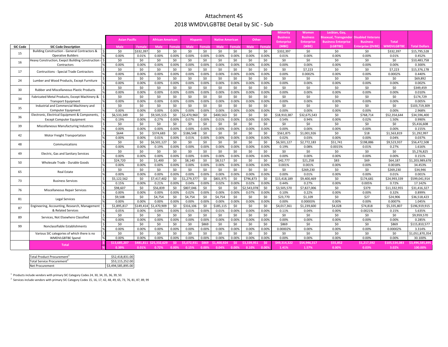#### Attachment 4S 2018 WMDVLGBTBE Detail by SIC ‐ Sub

|                 |                                                                        |                      |              |                         |              |                 |              |                        |              |              |       | <b>Minority</b>   | Women             | Lesbian, Gay,                |                         |                   |                            |
|-----------------|------------------------------------------------------------------------|----------------------|--------------|-------------------------|--------------|-----------------|--------------|------------------------|--------------|--------------|-------|-------------------|-------------------|------------------------------|-------------------------|-------------------|----------------------------|
|                 |                                                                        |                      |              |                         |              |                 |              |                        |              |              |       | <b>Business</b>   | <b>Business</b>   | <b>Bisexual, Transgender</b> | <b>Disabled Veteran</b> |                   |                            |
|                 |                                                                        | <b>Asian Pacific</b> |              | <b>African American</b> |              | <b>Hispanic</b> |              | <b>Native American</b> |              | Other        |       | <b>Enterprise</b> | <b>Enterprise</b> | <b>Business Enterprise</b>   | <b>Business</b>         | <b>Total</b>      |                            |
| <b>SIC Code</b> | <b>SIC Code Description</b>                                            | Male                 | Femal        | Male                    |              | Male            | ema          | Male                   |              | Male         |       | (MBE)             | (WBE)             | <b>(LGBTBE</b>               | nterprise (DVBE)        | <b>WMDVLGBTBF</b> | <b>Total Dollars</b>       |
|                 | Building Construction - General Contractors &                          | \$0                  | \$332,397    | \$0                     | \$0          | \$0             | \$0          | \$0                    | \$0          | \$0          | \$0   | \$332,397         | \$0               | \$0                          | \$0                     | \$332.397         | \$15,795,528               |
| 15              | <b>Operative Builders</b>                                              | 0.00%                | 0.01%        | 0.00%                   | 0.00%        | 0.00%           | 0.00%        | 0.00%                  | 0.00%        | 0.00%        | 0.00% | 0.01%             | 0.00%             | 0.00%                        | 0.00%                   | 0.01%             | 0.452%                     |
| 16              | Heavy Construction, Exepct Building Construction -                     | \$0                  | \$0          | \$0                     | \$0          | \$0             | \$0          | \$0                    | \$0          | \$0          | \$0   | \$0               | \$0               | \$0                          | \$0                     | \$0               | \$10,483,758               |
|                 | Contractors                                                            | 0.00%                | 0.00%        | 0.00%                   | 0.00%        | 0.00%           | 0.00%        | 0.00%                  | 0.00%        | 0.00%        | 0.00% | 0.00%             | 0.00%             | 0.00%                        | 0.00%                   | 0.00%             | 0.300%                     |
| 17              | Contructions - Special Trade Contractors                               | \$0                  | \$0          | \$0                     | \$0          | \$0             | \$0          | \$0                    | \$0          | \$0          | \$0   | 50                | \$7,223           | \$0                          | \$0                     | \$7,223           | \$15,376,178               |
|                 |                                                                        | 0.00%                | 0.00%        | 0.00%                   | 0.00%        | 0.00%           | 0.00%        | 0.00%                  | 0.00%        | 0.00%        | 0.00% | 0.00%             | 0.0002%           | 0.00%                        | 0.00%                   | 0.0002%           | 0.440%                     |
| 24              | Lumber and Wood Products, Except Furniture                             | \$0                  | \$0          | \$0                     | \$0          | \$0             | \$0          | \$0                    | \$0          | \$0          | \$0   | \$0               | \$0               | \$0                          | \$0                     | \$0               | \$69,892                   |
|                 |                                                                        | 0.00%                | 0.00%        | 0.00%                   | 0.00%        | 0.00%           | 0.00%        | 0.00%                  | 0.00%        | 0.00%        | 0.00% | 0.00%             | 0.00%             | 0.00%                        | 0.00%                   | 0.00%             | 0.002%                     |
| 30              | <b>Rubber and Miscellaneous Plastic Products</b>                       | \$0                  | \$0          | \$0                     | \$0          | \$0             | \$0          | \$0                    | \$0          | \$0          | \$0   | \$0               | \$0               | \$0                          | \$0                     | \$0               | \$349,459                  |
|                 |                                                                        | 0.00%                | 0.00%        | 0.00%                   | 0.00%        | 0.00%           | 0.00%        | 0.00%                  | 0.00%        | 0.00%        | 0.00% | 0.00%             | 0.00%             | 0.00%                        | 0.00%                   | 0.00%             | 0.010%                     |
| 34              | Fabricated Metal Products, Except Machinery &                          | \$0                  | \$0          | \$0                     | \$0          | \$0             | \$0          | \$0                    | \$0          | 50           | \$0   | \$0               | \$0               | \$0                          | \$0                     | \$0               | \$174,729                  |
|                 | <b>Transport Equipment</b>                                             | 0.00%                | 0.00%        | 0.00%                   | 0.00%        | 0.00%           | 0.00%        | 0.00%                  | 0.00%        | 0.00%        | 0.00% | 0.00%             | 0.00%             | 0.00%                        | 0.00%                   | 0.00%             | 0.005%                     |
| 35              | Industrial and Commercial Machinery and                                | \$0                  | \$0          | \$0                     | \$0          | \$0             | \$0          | \$0                    | \$0          | \$0          | \$0   | \$0               | \$0               | \$0                          | \$0                     | \$0               | \$103,719,309              |
|                 | Computer Equipment                                                     | 0.00%                | 0.00%        | 0.00%                   | 0.00%        | 0.00%           | 0.00%        | 0.00%                  | 0.00%        | 0.00%        | 0.00% | 0.00%             | 0.00%             | 0.00%                        | 0.00%                   | 0.00%             | 2.968%                     |
| 36              | Electronic, Electrical Equipment & Components,                         | \$6,533,349          | \$0          | \$9,505,515             | \$0          | \$2,470,960     | \$0          | \$400.563              | \$0          | \$0          | \$0   | \$18,910,387      | \$32,675,543      | \$0                          | \$768.714               | \$52,354,644      | \$34,596,400               |
|                 | <b>Except Computer Equipment</b>                                       | 0.19%                | 0.00%        | 0.27%                   | 0.00%        | 0.07%           | 0.00%        | 0.01%                  | 0.00%        | 0.00%        | 0.00% | 0.54%             | 0.94%             | 0.00%                        | 0.02%                   | 1.50%             | 0.990%                     |
| 39              | Miscellaneous Manufacturing Industries                                 | \$0                  | 50           | \$0                     | 50           | 50              | \$0          | \$0                    | \$0          | 50           | \$0   | \$0               | \$0               | \$0                          | \$0                     | \$0               | \$5,416,608                |
|                 |                                                                        | 0.00%                | 0.00%        | 0.00%                   | 0.00%        | 0.00%           | 0.00%        | 0.00%                  | 0.00%        | 0.00%        | 0.00% | 0.00%             | 0.00%             | 0.00%                        | 0.00%                   | 0.00%             | 0.155%                     |
| 42              | Motor Freight Transportation                                           | \$644                | \$0          | \$374,683               | \$0          | \$186,548       | \$0          | \$0                    | \$0          | \$0          | \$0   | \$561,875         | \$1,001,926       | \$0                          | \$18                    | \$1,563,819       | \$1,292,997                |
|                 |                                                                        | 0.00%                | 0.00%        | 0.01%                   | 0.00%        | 0.01%           | 0.00%        | 0.00%                  | 0.00%        | 0.00%        | 0.00% | 0.02%             | 0.03%             | 0.00%                        | 0.00%                   | 0.04%             | 0.037%                     |
| 48              | Communications                                                         | \$0                  | \$0          | \$6,501,12              | \$0          | \$0             | \$0          | \$0                    | \$0          | \$0          | \$0   | \$6,501,127       | \$2,772,183       | \$51,741                     | \$198,886               | \$9,523,937       | \$56,472,508               |
|                 |                                                                        | 0.00%                | 0.00%        | 0.19%                   | 0.00%        | 0.00%           | 0.00%        | 0.00%                  | 0.00%        | 0.00%        | 0.00% | 0.19%             | 0.08%             | 0.0015%                      | 0.01%                   | 0.27%             | 1.616%                     |
| 49              | Electric, Gas and Sanitary Services                                    | \$0                  | \$0          | \$0                     | \$0          | \$0             | \$0          | \$0                    | \$0          | \$0          | \$0   | \$0               | \$0               | \$0                          | \$0                     | \$0               | \$5,276,825                |
|                 |                                                                        | 0.00%                | 0.00%        | 0.00%                   | 0.00%        | 0.00%           | 0.00%        | 0.00%                  | 0.00%        | 0.00%        | 0.00% | 0.00%             | 0.00%             | 0.00%                        | 0.00%                   | 0.00%             | 0.151%                     |
| 50              | Wholesale Trade - Durable Goods                                        | \$24,720             | \$0          | \$1,400                 | \$0          | \$8,140         | \$0          | \$8,517                | \$0          | \$0          | \$0   | \$42,777          | \$21,258          | \$83                         | \$69                    | \$64,187          | \$1,203,989,678            |
|                 |                                                                        | 0.00%                | 0.00%        | 0.00%                   | 0.00%        | 0.00%           | 0.00%        | 0.00%                  | 0.00%        | 0.00%        | 0.00% | 0.001%            | 0.001%            | 0.00%                        | 0.00%                   | 0.0018%           | 34.453%                    |
| 65              | <b>Real Estate</b>                                                     | \$0                  | 50           | \$0                     | \$0          | \$0             | \$0          | \$0                    | \$0          | 50           | \$0   | \$0               | \$269,230         | \$0                          | \$0                     | \$269,230         | \$34.946                   |
|                 |                                                                        | 0.00%                | 0.00%        | 0.00%                   | 0.00%        | 0.00%           | 0.00%        | 0.00%                  | 0.00%        | 0.00%        | 0.00% | 0.00%             | 0.01%             | 0.00%                        | 0.00%                   | 0.01%             | 0.001%                     |
| 73              | <b>Business Services</b>                                               | \$5.122.562          | \$0          | \$7,417,402             | \$0          | \$1,279,37      | \$0          | \$801.975              | \$0          | \$796,873    | \$0   | \$15,418,189      | \$9,400,469       | \$0                          | \$174.681               | \$24,993,339      | \$599.041.914              |
|                 |                                                                        | 0.15%                | 0.00%        | 0.21%                   | 0.00%        | 0.04%           | 0.00%        | 0.02%                  | 0.00%        | 0.02%        | 0.00% | 0.44%             | 0.27%             | 0.00%                        | 0.005%                  | 0.72%             | 17.142%                    |
| 76              | Miscellaneous Repair Services                                          | \$98,607             | \$0          | \$56,839                | \$0          | \$807,046       | \$0          | \$0                    | \$0          | \$2,543,07   | \$0   | \$3,505,570       | \$7,827,006       | \$0                          | \$379                   | \$11,332,955      | \$31,416,327               |
|                 |                                                                        | 0.00%                | 0.00%        | 0.00%                   | 0.00%        | 0.02%           | 0.00%        | 0.00%                  | 0.00%        | 0.07%        | 0.00% | 0.10%             | 0.22%             | 0.00%                        | 0.00%                   | 0.32%             | 0.899%                     |
| 81              | <b>Legal Services</b>                                                  | \$9,508              | \$0          | \$4,754                 | \$0          | \$4,754         | \$0          | \$4,754                | \$0          | \$0          | \$0   | \$23,770          | \$1,109           | \$0                          | \$27                    | \$24,906          | \$36,518,423               |
|                 |                                                                        | 0.00%                | 0.00%        | 0.00%                   | 0.00%        | 0.00%           | 0.00%        | 0.00%                  | 0.00%        | 0.00%        | 0.00% | 0.00%             | 0.00003%          | 0.00%                        | 0.00%                   | 0.0007%           | 1.045%                     |
| 87              | Engineering, Accounting, Research, Management                          | \$1.895.817          | \$149.414    | \$1,470,909             | \$0          | \$316.106       | \$0          | \$185.115              | \$0          | \$0          | \$0   | \$4.017.361       | \$1.239.600       | \$4.028                      | \$74.818                | \$5.335.807       | \$196.919.915              |
|                 | & Related Services                                                     | 0.05%                | 0.00%        | 0.04%                   | 0.00%        | 0.01%           | 0.00%        | 0.01%                  | 0.00%        | 0.00%        | 0.00% | 0.11%             | 0.04%             | 0.00%                        | 0.0021%                 | 0.15%             | 5.635%                     |
| 89              | Services, Not Elsewhere Classified                                     | \$0                  | \$0          | \$0                     | \$0          | \$0             | \$0          | \$0                    | \$0          | \$0          | \$0   | \$0               | \$0               | \$0                          | \$0                     | \$0               | \$9,959,570                |
|                 |                                                                        | 0.00%                | 0.00%        | 0.00%                   | 0.00%        | 0.00%           | 0.00%        | 0.00%                  | 0.00%        | 0.00%        | 0.00% | 0.00%             | 0.00%             | 0.00%                        | 0.00%                   | 0.00%             | 0.285%                     |
| 99              | Nonclassifiable Establishments                                         | \$0                  | \$0          | \$0                     | \$0          | \$0             | \$869        | \$0                    | \$0          | \$0          | \$0   | \$869             | \$0               | \$0                          | \$0                     | \$869             | \$115,810,577              |
|                 |                                                                        | 0.00%                | 0.00%        | 0.00%                   | 0.00%        | 0.00%           | 0.00%        | 0.00%                  | 0.00%        | 0.00%        | 0.00% | 0.00002%          | 0.00%             | 0.00%                        | 0.00%                   | 0.00002%          | 3.314%                     |
|                 | Various SIC categories of which there is no<br><b>WMDVLGBTBE Spend</b> | \$0<br>0.00%         | \$0<br>0.00% | \$0<br>0.00%            | \$0<br>0.00% | \$0<br>0.00%    | \$0<br>0.00% | \$0<br>0.00%           | \$0<br>0.00% | \$0<br>0.00% | \$0   | \$0<br>0.00%      | \$0<br>0.00%      | \$0<br>0.00%                 | \$0<br>0.00%            | \$0<br>0.00%      | \$1,051,870,354<br>30.100% |
|                 |                                                                        |                      |              |                         |              |                 |              |                        | <b>SO</b>    |              | 0.00% |                   |                   |                              |                         |                   |                            |
|                 | <b>Total</b>                                                           | \$13.685.207         | \$481.811    | \$25.332.629            | \$0          | \$5.072.931     | \$869        | \$1.400.924            |              | \$3.339.951  | \$0   | \$49.314.322      | \$54,946,317      | \$55,852                     | \$1,217,592             | \$105,534,083     | \$3.494.585.895            |
|                 |                                                                        | 0.39%                | 0.01%        | 0.72%                   | 0.00%        | 0.15%           | 0.00%        | 0.04%                  | 0.00%        | 0.10%        | 0.00% | 1.41%             | 1.57%             | 0.00%                        | 0.03%                   | 3.02%             | 100.00%                    |

| Total Product Procurement <sup>+</sup> | \$52,418,831.00    |
|----------------------------------------|--------------------|
| Total Service Procurement <sup>4</sup> | \$53,115,252.00    |
| Net Procurement                        | \$3,494,585,895.00 |

 $1$  Products include vendors with primary SIC Category Codes 24, 30, 34, 35, 36, 39, 50.

 $2^{2}$  Services include vendors with primary SIC Category Codes 15, 16, 17, 42, 48, 49, 65, 73, 76, 81, 87, 89, 99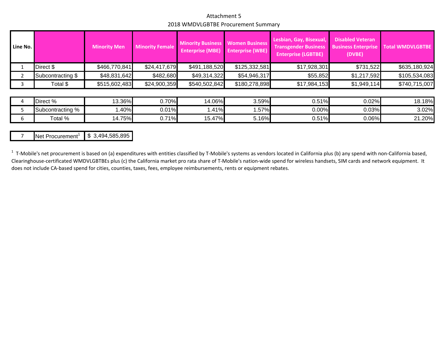#### Attachment 5 2018 WMDVLGBTBE Procurement Summary

| Line No. |                   | <b>Minority Men</b> | <b>Minority Female</b> | <b>Minority Business</b><br><b>Enterprise (MBE)</b> | <b>Women Business</b><br><b>Enterprise (WBE)</b> | Lesbian, Gay, Bisexual,<br><b>Transgender Business</b><br><b>Enterprise (LGBTBE)</b> | <b>Disabled Veteran</b><br><b>Business Enterprise</b><br>(DVBE) | <b>Total WMDVLGBTBE</b> |
|----------|-------------------|---------------------|------------------------|-----------------------------------------------------|--------------------------------------------------|--------------------------------------------------------------------------------------|-----------------------------------------------------------------|-------------------------|
|          | Direct \$         | \$466,770,841       | \$24,417,679           | \$491,188,520                                       | \$125,332,581                                    | \$17,928,301                                                                         | \$731,522                                                       | \$635,180,924           |
|          | Subcontracting \$ | \$48,831,642        | \$482,680              | \$49,314,322                                        | \$54,946,317                                     | \$55,852                                                                             | \$1,217,592                                                     | \$105,534,083           |
|          | Total \$          | \$515,602,483       | \$24,900,359           | \$540,502,842                                       | \$180,278,898                                    | \$17,984,153                                                                         | \$1,949,114                                                     | \$740,715,007           |
|          |                   |                     |                        |                                                     |                                                  |                                                                                      |                                                                 |                         |
|          | Direct %          | 13.36%              | 0.70%                  | 14.06%                                              | 3.59%                                            | 0.51%                                                                                | 0.02%                                                           | 18.18%                  |
| 5        | Subcontracting %  | 1.40%               | 0.01%                  | 1.41%                                               | 1.57%                                            | 0.00%                                                                                | 0.03%                                                           | 3.02%                   |
| 6        | Total %           | 14.75%              | 0.71%                  | 15.47%                                              | 5.16%                                            | 0.51%                                                                                | 0.06%                                                           | 21.20%                  |

7Net Procurement<sup>1</sup> \$ 3,494,585,895

<sup>1</sup> T-Mobile's net procurement is based on (a) expenditures with entities classified by T-Mobile's systems as vendors located in California plus (b) any spend with non-California based, Clearinghouse-certificated WMDVLGBTBEs plus (c) the California market pro rata share of T-Mobile's nation-wide spend for wireless handsets, SIM cards and network equipment. It does not include CA‐based spend for cities, counties, taxes, fees, employee reimbursements, rents or equipment rebates.